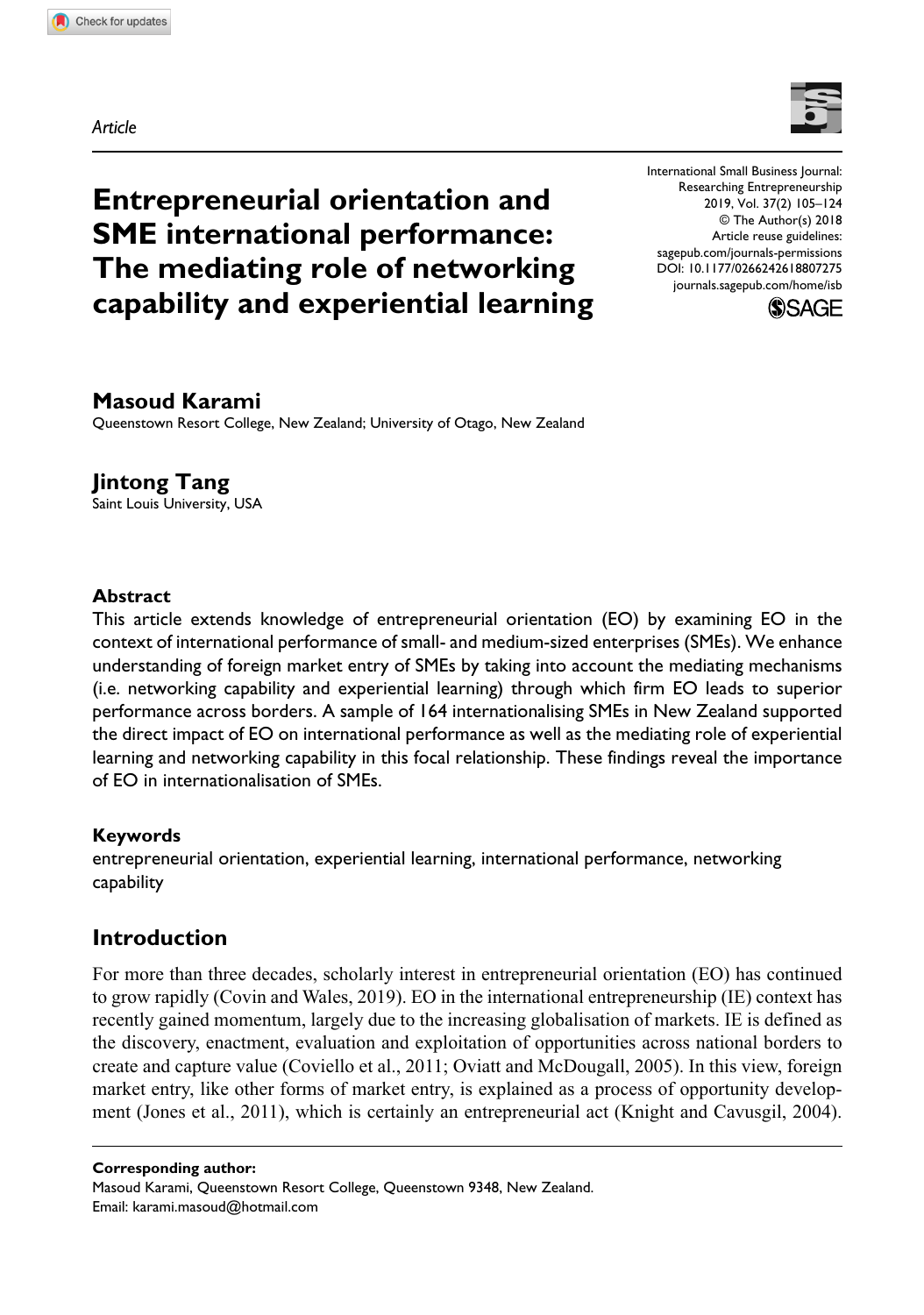*Article*



**Entrepreneurial orientation and SME international performance: The mediating role of networking capability and experiential learning** DOI: 10.1177/0266242618807275 International Small Business Journal: Researching Entrepreneurship 2019, Vol. 37(2) 105–124 © The Author(s) 2018 Article reuse guidelines: [sagepub.com/journals-permissions](https://uk.sagepub.com/en-gb/journals-permissions) [journals.sagepub.com/home/isb](https://journals.sagepub.com/home/isb)



## **Masoud Karami**

Queenstown Resort College, New Zealand; University of Otago, New Zealand

# **Jintong Tang**

Saint Louis University, USA

### **Abstract**

This article extends knowledge of entrepreneurial orientation (EO) by examining EO in the context of international performance of small- and medium-sized enterprises (SMEs). We enhance understanding of foreign market entry of SMEs by taking into account the mediating mechanisms (i.e. networking capability and experiential learning) through which firm EO leads to superior performance across borders. A sample of 164 internationalising SMEs in New Zealand supported the direct impact of EO on international performance as well as the mediating role of experiential learning and networking capability in this focal relationship. These findings reveal the importance of EO in internationalisation of SMEs.

### **Keywords**

entrepreneurial orientation, experiential learning, international performance, networking capability

# **Introduction**

For more than three decades, scholarly interest in entrepreneurial orientation (EO) has continued to grow rapidly (Covin and Wales, 2019). EO in the international entrepreneurship (IE) context has recently gained momentum, largely due to the increasing globalisation of markets. IE is defined as the discovery, enactment, evaluation and exploitation of opportunities across national borders to create and capture value (Coviello et al., 2011; Oviatt and McDougall, 2005). In this view, foreign market entry, like other forms of market entry, is explained as a process of opportunity development (Jones et al., 2011), which is certainly an entrepreneurial act (Knight and Cavusgil, 2004).

**Corresponding author:**

Masoud Karami, Queenstown Resort College, Queenstown 9348, New Zealand. Email: [karami.masoud@hotmail.com](mailto:karami.masoud@hotmail.com)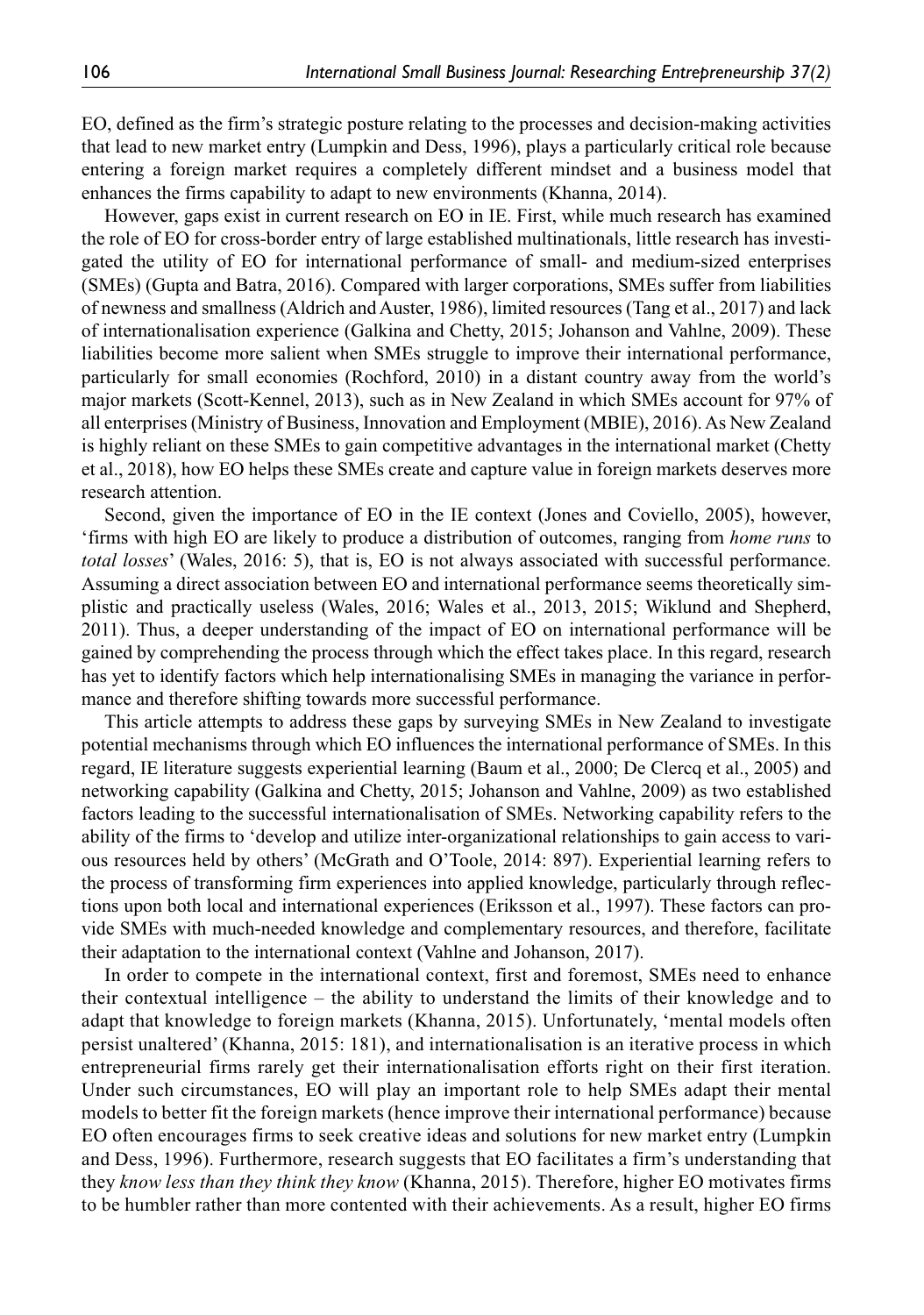EO, defined as the firm's strategic posture relating to the processes and decision-making activities that lead to new market entry (Lumpkin and Dess, 1996), plays a particularly critical role because entering a foreign market requires a completely different mindset and a business model that enhances the firms capability to adapt to new environments (Khanna, 2014).

However, gaps exist in current research on EO in IE. First, while much research has examined the role of EO for cross-border entry of large established multinationals, little research has investigated the utility of EO for international performance of small- and medium-sized enterprises (SMEs) (Gupta and Batra, 2016). Compared with larger corporations, SMEs suffer from liabilities of newness and smallness (Aldrich and Auster, 1986), limited resources (Tang et al., 2017) and lack of internationalisation experience (Galkina and Chetty, 2015; Johanson and Vahlne, 2009). These liabilities become more salient when SMEs struggle to improve their international performance, particularly for small economies (Rochford, 2010) in a distant country away from the world's major markets (Scott-Kennel, 2013), such as in New Zealand in which SMEs account for 97% of all enterprises (Ministry of Business, Innovation and Employment (MBIE), 2016). As New Zealand is highly reliant on these SMEs to gain competitive advantages in the international market (Chetty et al., 2018), how EO helps these SMEs create and capture value in foreign markets deserves more research attention.

Second, given the importance of EO in the IE context (Jones and Coviello, 2005), however, 'firms with high EO are likely to produce a distribution of outcomes, ranging from *home runs* to *total losses*' (Wales, 2016: 5), that is, EO is not always associated with successful performance. Assuming a direct association between EO and international performance seems theoretically simplistic and practically useless (Wales, 2016; Wales et al., 2013, 2015; Wiklund and Shepherd, 2011). Thus, a deeper understanding of the impact of EO on international performance will be gained by comprehending the process through which the effect takes place. In this regard, research has yet to identify factors which help internationalising SMEs in managing the variance in performance and therefore shifting towards more successful performance.

This article attempts to address these gaps by surveying SMEs in New Zealand to investigate potential mechanisms through which EO influences the international performance of SMEs. In this regard, IE literature suggests experiential learning (Baum et al., 2000; De Clercq et al., 2005) and networking capability (Galkina and Chetty, 2015; Johanson and Vahlne, 2009) as two established factors leading to the successful internationalisation of SMEs. Networking capability refers to the ability of the firms to 'develop and utilize inter-organizational relationships to gain access to various resources held by others' (McGrath and O'Toole, 2014: 897). Experiential learning refers to the process of transforming firm experiences into applied knowledge, particularly through reflections upon both local and international experiences (Eriksson et al., 1997). These factors can provide SMEs with much-needed knowledge and complementary resources, and therefore, facilitate their adaptation to the international context (Vahlne and Johanson, 2017).

In order to compete in the international context, first and foremost, SMEs need to enhance their contextual intelligence – the ability to understand the limits of their knowledge and to adapt that knowledge to foreign markets (Khanna, 2015). Unfortunately, 'mental models often persist unaltered' (Khanna, 2015: 181), and internationalisation is an iterative process in which entrepreneurial firms rarely get their internationalisation efforts right on their first iteration. Under such circumstances, EO will play an important role to help SMEs adapt their mental models to better fit the foreign markets (hence improve their international performance) because EO often encourages firms to seek creative ideas and solutions for new market entry (Lumpkin and Dess, 1996). Furthermore, research suggests that EO facilitates a firm's understanding that they *know less than they think they know* (Khanna, 2015). Therefore, higher EO motivates firms to be humbler rather than more contented with their achievements. As a result, higher EO firms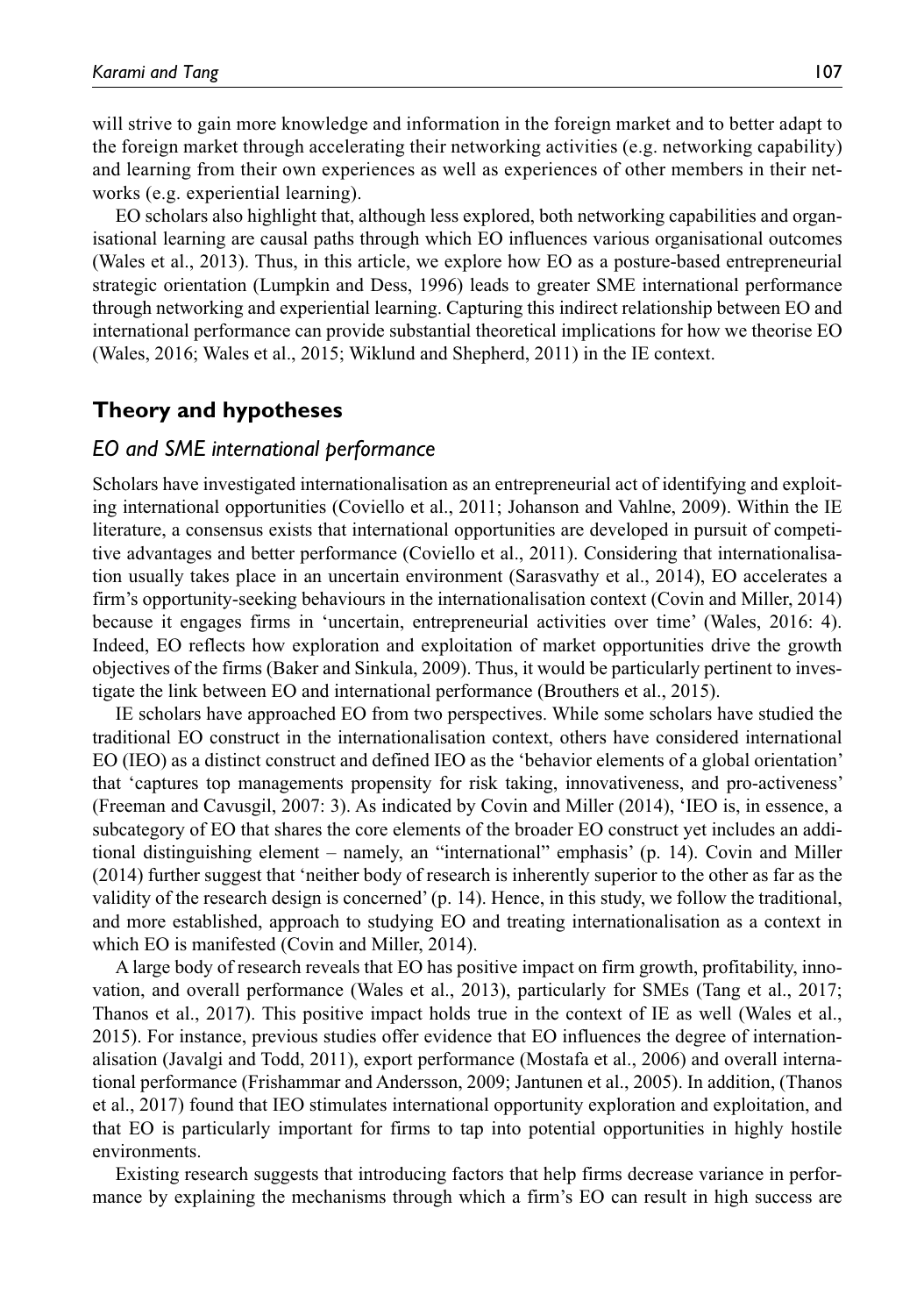will strive to gain more knowledge and information in the foreign market and to better adapt to the foreign market through accelerating their networking activities (e.g. networking capability) and learning from their own experiences as well as experiences of other members in their networks (e.g. experiential learning).

EO scholars also highlight that, although less explored, both networking capabilities and organisational learning are causal paths through which EO influences various organisational outcomes (Wales et al., 2013). Thus, in this article, we explore how EO as a posture-based entrepreneurial strategic orientation (Lumpkin and Dess, 1996) leads to greater SME international performance through networking and experiential learning. Capturing this indirect relationship between EO and international performance can provide substantial theoretical implications for how we theorise EO (Wales, 2016; Wales et al., 2015; Wiklund and Shepherd, 2011) in the IE context.

## **Theory and hypotheses**

#### *EO and SME international performance*

Scholars have investigated internationalisation as an entrepreneurial act of identifying and exploiting international opportunities (Coviello et al., 2011; Johanson and Vahlne, 2009). Within the IE literature, a consensus exists that international opportunities are developed in pursuit of competitive advantages and better performance (Coviello et al., 2011). Considering that internationalisation usually takes place in an uncertain environment (Sarasvathy et al., 2014), EO accelerates a firm's opportunity-seeking behaviours in the internationalisation context (Covin and Miller, 2014) because it engages firms in 'uncertain, entrepreneurial activities over time' (Wales, 2016: 4). Indeed, EO reflects how exploration and exploitation of market opportunities drive the growth objectives of the firms (Baker and Sinkula, 2009). Thus, it would be particularly pertinent to investigate the link between EO and international performance (Brouthers et al., 2015).

IE scholars have approached EO from two perspectives. While some scholars have studied the traditional EO construct in the internationalisation context, others have considered international EO (IEO) as a distinct construct and defined IEO as the 'behavior elements of a global orientation' that 'captures top managements propensity for risk taking, innovativeness, and pro-activeness' (Freeman and Cavusgil, 2007: 3). As indicated by Covin and Miller (2014), 'IEO is, in essence, a subcategory of EO that shares the core elements of the broader EO construct yet includes an additional distinguishing element – namely, an "international" emphasis' (p. 14). Covin and Miller (2014) further suggest that 'neither body of research is inherently superior to the other as far as the validity of the research design is concerned' (p. 14). Hence, in this study, we follow the traditional, and more established, approach to studying EO and treating internationalisation as a context in which EO is manifested (Covin and Miller, 2014).

A large body of research reveals that EO has positive impact on firm growth, profitability, innovation, and overall performance (Wales et al., 2013), particularly for SMEs (Tang et al., 2017; Thanos et al., 2017). This positive impact holds true in the context of IE as well (Wales et al., 2015). For instance, previous studies offer evidence that EO influences the degree of internationalisation (Javalgi and Todd, 2011), export performance (Mostafa et al., 2006) and overall international performance (Frishammar and Andersson, 2009; Jantunen et al., 2005). In addition, (Thanos et al., 2017) found that IEO stimulates international opportunity exploration and exploitation, and that EO is particularly important for firms to tap into potential opportunities in highly hostile environments.

Existing research suggests that introducing factors that help firms decrease variance in performance by explaining the mechanisms through which a firm's EO can result in high success are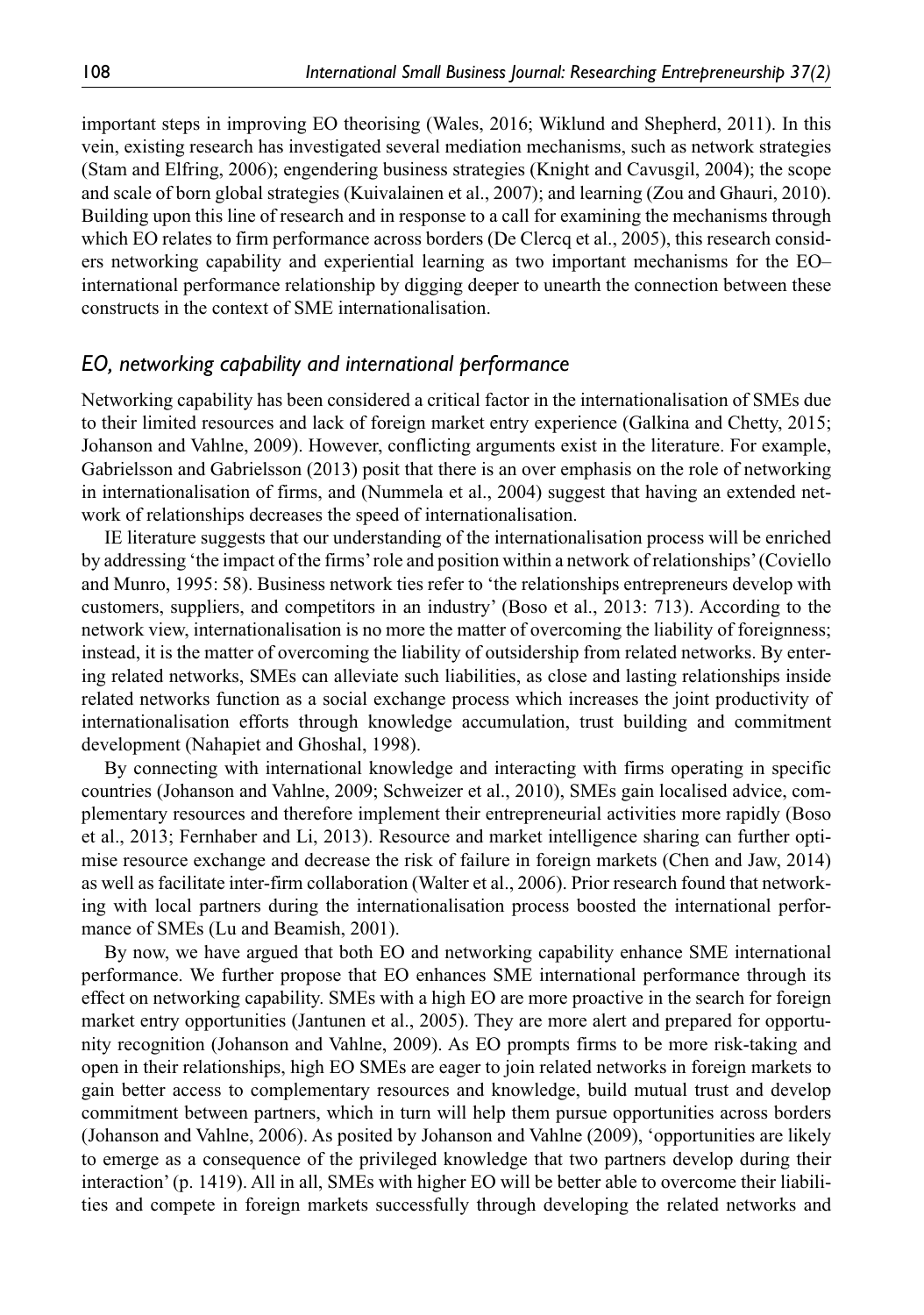important steps in improving EO theorising (Wales, 2016; Wiklund and Shepherd, 2011). In this vein, existing research has investigated several mediation mechanisms, such as network strategies (Stam and Elfring, 2006); engendering business strategies (Knight and Cavusgil, 2004); the scope and scale of born global strategies (Kuivalainen et al., 2007); and learning (Zou and Ghauri, 2010). Building upon this line of research and in response to a call for examining the mechanisms through which EO relates to firm performance across borders (De Clercq et al., 2005), this research considers networking capability and experiential learning as two important mechanisms for the EO– international performance relationship by digging deeper to unearth the connection between these constructs in the context of SME internationalisation.

### *EO, networking capability and international performance*

Networking capability has been considered a critical factor in the internationalisation of SMEs due to their limited resources and lack of foreign market entry experience (Galkina and Chetty, 2015; Johanson and Vahlne, 2009). However, conflicting arguments exist in the literature. For example, Gabrielsson and Gabrielsson (2013) posit that there is an over emphasis on the role of networking in internationalisation of firms, and (Nummela et al., 2004) suggest that having an extended network of relationships decreases the speed of internationalisation.

IE literature suggests that our understanding of the internationalisation process will be enriched by addressing 'the impact of the firms' role and position within a network of relationships' (Coviello and Munro, 1995: 58). Business network ties refer to 'the relationships entrepreneurs develop with customers, suppliers, and competitors in an industry' (Boso et al., 2013: 713). According to the network view, internationalisation is no more the matter of overcoming the liability of foreignness; instead, it is the matter of overcoming the liability of outsidership from related networks. By entering related networks, SMEs can alleviate such liabilities, as close and lasting relationships inside related networks function as a social exchange process which increases the joint productivity of internationalisation efforts through knowledge accumulation, trust building and commitment development (Nahapiet and Ghoshal, 1998).

By connecting with international knowledge and interacting with firms operating in specific countries (Johanson and Vahlne, 2009; Schweizer et al., 2010), SMEs gain localised advice, complementary resources and therefore implement their entrepreneurial activities more rapidly (Boso et al., 2013; Fernhaber and Li, 2013). Resource and market intelligence sharing can further optimise resource exchange and decrease the risk of failure in foreign markets (Chen and Jaw, 2014) as well as facilitate inter-firm collaboration (Walter et al., 2006). Prior research found that networking with local partners during the internationalisation process boosted the international performance of SMEs (Lu and Beamish, 2001).

By now, we have argued that both EO and networking capability enhance SME international performance. We further propose that EO enhances SME international performance through its effect on networking capability. SMEs with a high EO are more proactive in the search for foreign market entry opportunities (Jantunen et al., 2005). They are more alert and prepared for opportunity recognition (Johanson and Vahlne, 2009). As EO prompts firms to be more risk-taking and open in their relationships, high EO SMEs are eager to join related networks in foreign markets to gain better access to complementary resources and knowledge, build mutual trust and develop commitment between partners, which in turn will help them pursue opportunities across borders (Johanson and Vahlne, 2006). As posited by Johanson and Vahlne (2009), 'opportunities are likely to emerge as a consequence of the privileged knowledge that two partners develop during their interaction' (p. 1419). All in all, SMEs with higher EO will be better able to overcome their liabilities and compete in foreign markets successfully through developing the related networks and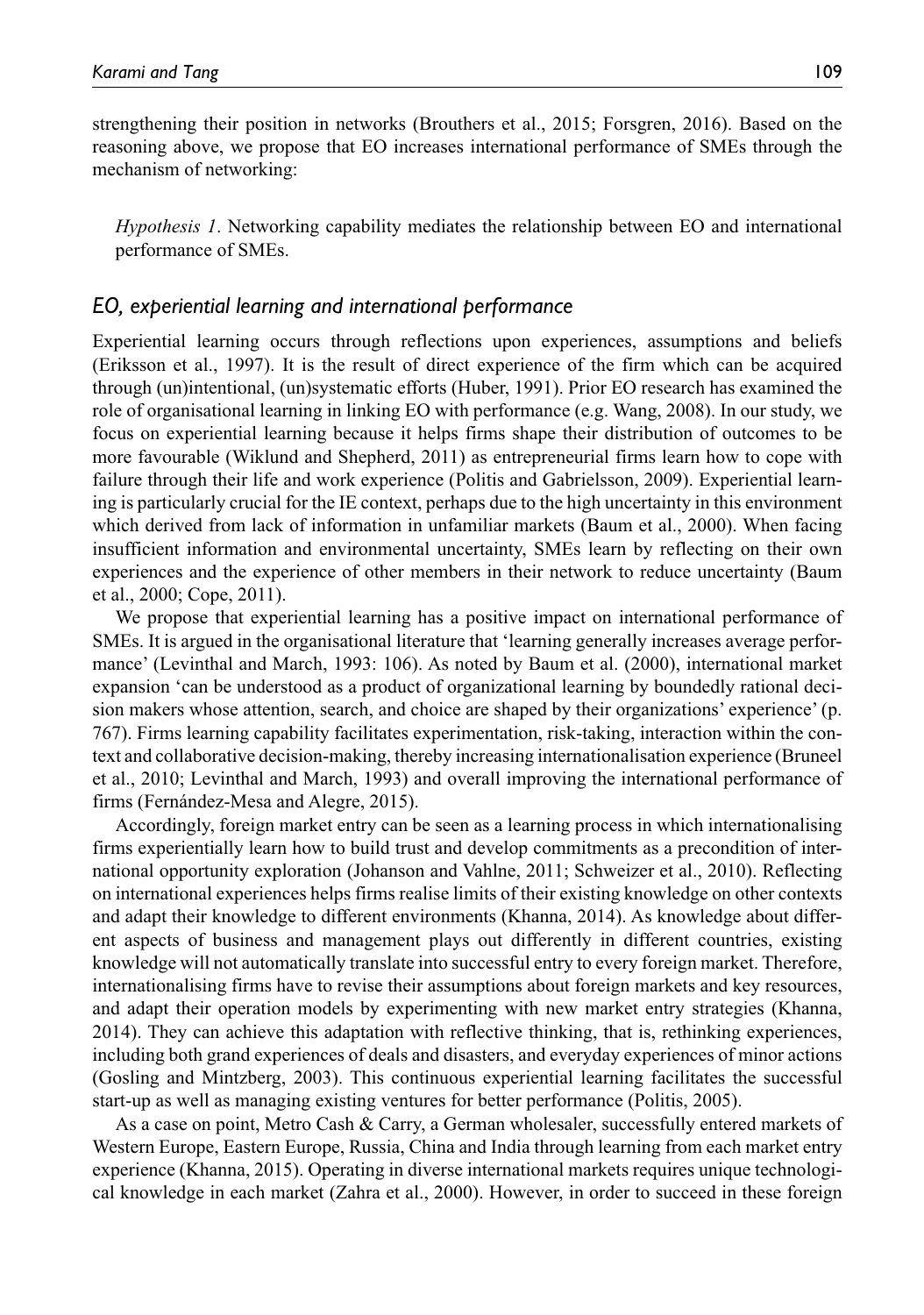strengthening their position in networks (Brouthers et al., 2015; Forsgren, 2016). Based on the reasoning above, we propose that EO increases international performance of SMEs through the mechanism of networking:

*Hypothesis 1*. Networking capability mediates the relationship between EO and international performance of SMEs.

### *EO, experiential learning and international performance*

Experiential learning occurs through reflections upon experiences, assumptions and beliefs (Eriksson et al., 1997). It is the result of direct experience of the firm which can be acquired through (un)intentional, (un)systematic efforts (Huber, 1991). Prior EO research has examined the role of organisational learning in linking EO with performance (e.g. Wang, 2008). In our study, we focus on experiential learning because it helps firms shape their distribution of outcomes to be more favourable (Wiklund and Shepherd, 2011) as entrepreneurial firms learn how to cope with failure through their life and work experience (Politis and Gabrielsson, 2009). Experiential learning is particularly crucial for the IE context, perhaps due to the high uncertainty in this environment which derived from lack of information in unfamiliar markets (Baum et al., 2000). When facing insufficient information and environmental uncertainty, SMEs learn by reflecting on their own experiences and the experience of other members in their network to reduce uncertainty (Baum et al., 2000; Cope, 2011).

We propose that experiential learning has a positive impact on international performance of SMEs. It is argued in the organisational literature that 'learning generally increases average performance' (Levinthal and March, 1993: 106). As noted by Baum et al. (2000), international market expansion 'can be understood as a product of organizational learning by boundedly rational decision makers whose attention, search, and choice are shaped by their organizations' experience' (p. 767). Firms learning capability facilitates experimentation, risk-taking, interaction within the context and collaborative decision-making, thereby increasing internationalisation experience (Bruneel et al., 2010; Levinthal and March, 1993) and overall improving the international performance of firms (Fernández-Mesa and Alegre, 2015).

Accordingly, foreign market entry can be seen as a learning process in which internationalising firms experientially learn how to build trust and develop commitments as a precondition of international opportunity exploration (Johanson and Vahlne, 2011; Schweizer et al., 2010). Reflecting on international experiences helps firms realise limits of their existing knowledge on other contexts and adapt their knowledge to different environments (Khanna, 2014). As knowledge about different aspects of business and management plays out differently in different countries, existing knowledge will not automatically translate into successful entry to every foreign market. Therefore, internationalising firms have to revise their assumptions about foreign markets and key resources, and adapt their operation models by experimenting with new market entry strategies (Khanna, 2014). They can achieve this adaptation with reflective thinking, that is, rethinking experiences, including both grand experiences of deals and disasters, and everyday experiences of minor actions (Gosling and Mintzberg, 2003). This continuous experiential learning facilitates the successful start-up as well as managing existing ventures for better performance (Politis, 2005).

As a case on point, Metro Cash & Carry, a German wholesaler, successfully entered markets of Western Europe, Eastern Europe, Russia, China and India through learning from each market entry experience (Khanna, 2015). Operating in diverse international markets requires unique technological knowledge in each market (Zahra et al., 2000). However, in order to succeed in these foreign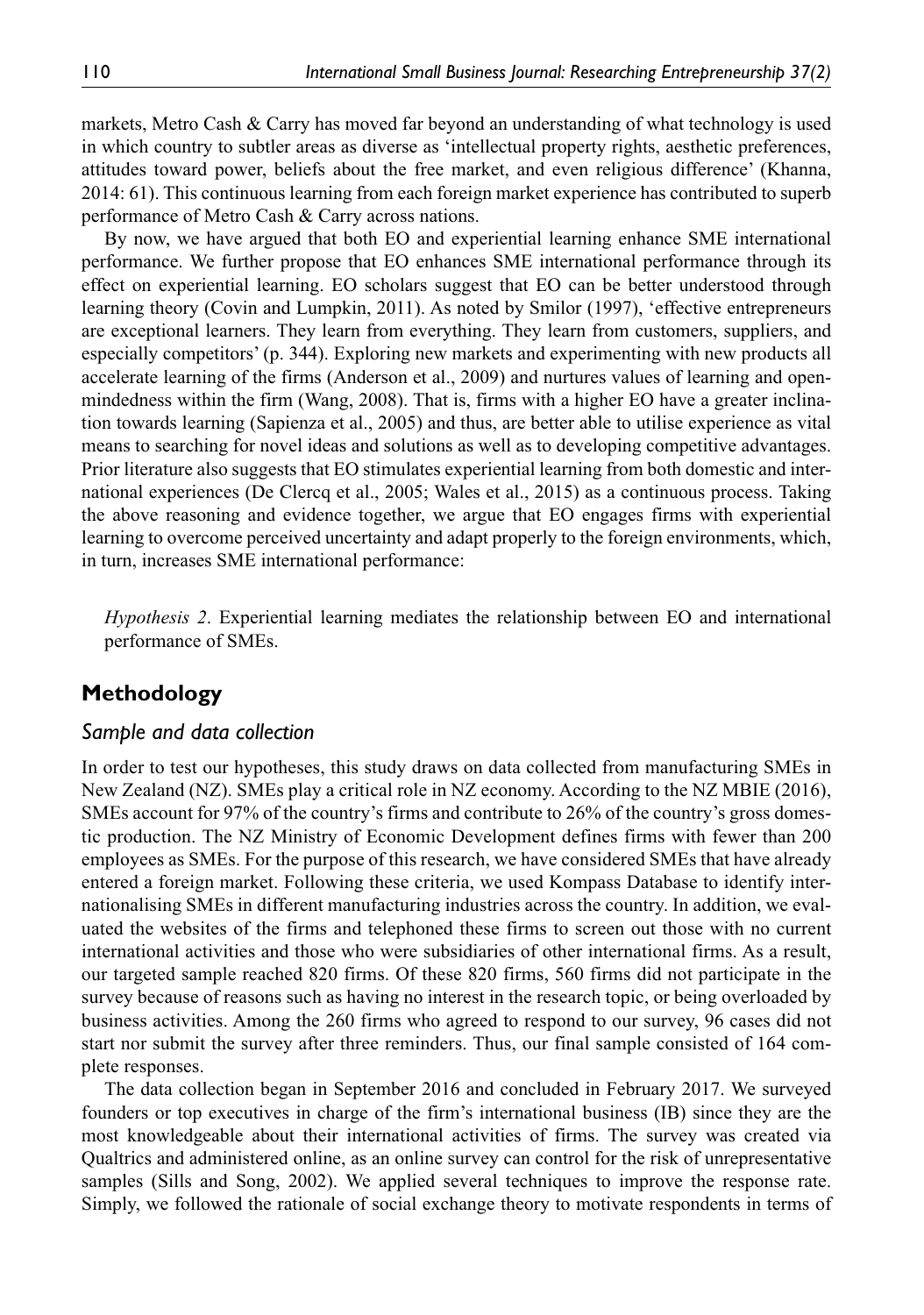markets, Metro Cash & Carry has moved far beyond an understanding of what technology is used in which country to subtler areas as diverse as 'intellectual property rights, aesthetic preferences, attitudes toward power, beliefs about the free market, and even religious difference' (Khanna, 2014: 61). This continuous learning from each foreign market experience has contributed to superb performance of Metro Cash & Carry across nations.

By now, we have argued that both EO and experiential learning enhance SME international performance. We further propose that EO enhances SME international performance through its effect on experiential learning. EO scholars suggest that EO can be better understood through learning theory (Covin and Lumpkin, 2011). As noted by Smilor (1997), 'effective entrepreneurs are exceptional learners. They learn from everything. They learn from customers, suppliers, and especially competitors' (p. 344). Exploring new markets and experimenting with new products all accelerate learning of the firms (Anderson et al., 2009) and nurtures values of learning and openmindedness within the firm (Wang, 2008). That is, firms with a higher EO have a greater inclination towards learning (Sapienza et al., 2005) and thus, are better able to utilise experience as vital means to searching for novel ideas and solutions as well as to developing competitive advantages. Prior literature also suggests that EO stimulates experiential learning from both domestic and international experiences (De Clercq et al., 2005; Wales et al., 2015) as a continuous process. Taking the above reasoning and evidence together, we argue that EO engages firms with experiential learning to overcome perceived uncertainty and adapt properly to the foreign environments, which, in turn, increases SME international performance:

*Hypothesis 2*. Experiential learning mediates the relationship between EO and international performance of SMEs.

# **Methodology**

### *Sample and data collection*

In order to test our hypotheses, this study draws on data collected from manufacturing SMEs in New Zealand (NZ). SMEs play a critical role in NZ economy. According to the NZ MBIE (2016), SMEs account for 97% of the country's firms and contribute to 26% of the country's gross domestic production. The NZ Ministry of Economic Development defines firms with fewer than 200 employees as SMEs. For the purpose of this research, we have considered SMEs that have already entered a foreign market. Following these criteria, we used Kompass Database to identify internationalising SMEs in different manufacturing industries across the country. In addition, we evaluated the websites of the firms and telephoned these firms to screen out those with no current international activities and those who were subsidiaries of other international firms. As a result, our targeted sample reached 820 firms. Of these 820 firms, 560 firms did not participate in the survey because of reasons such as having no interest in the research topic, or being overloaded by business activities. Among the 260 firms who agreed to respond to our survey, 96 cases did not start nor submit the survey after three reminders. Thus, our final sample consisted of 164 complete responses.

The data collection began in September 2016 and concluded in February 2017. We surveyed founders or top executives in charge of the firm's international business (IB) since they are the most knowledgeable about their international activities of firms. The survey was created via Qualtrics and administered online, as an online survey can control for the risk of unrepresentative samples (Sills and Song, 2002). We applied several techniques to improve the response rate. Simply, we followed the rationale of social exchange theory to motivate respondents in terms of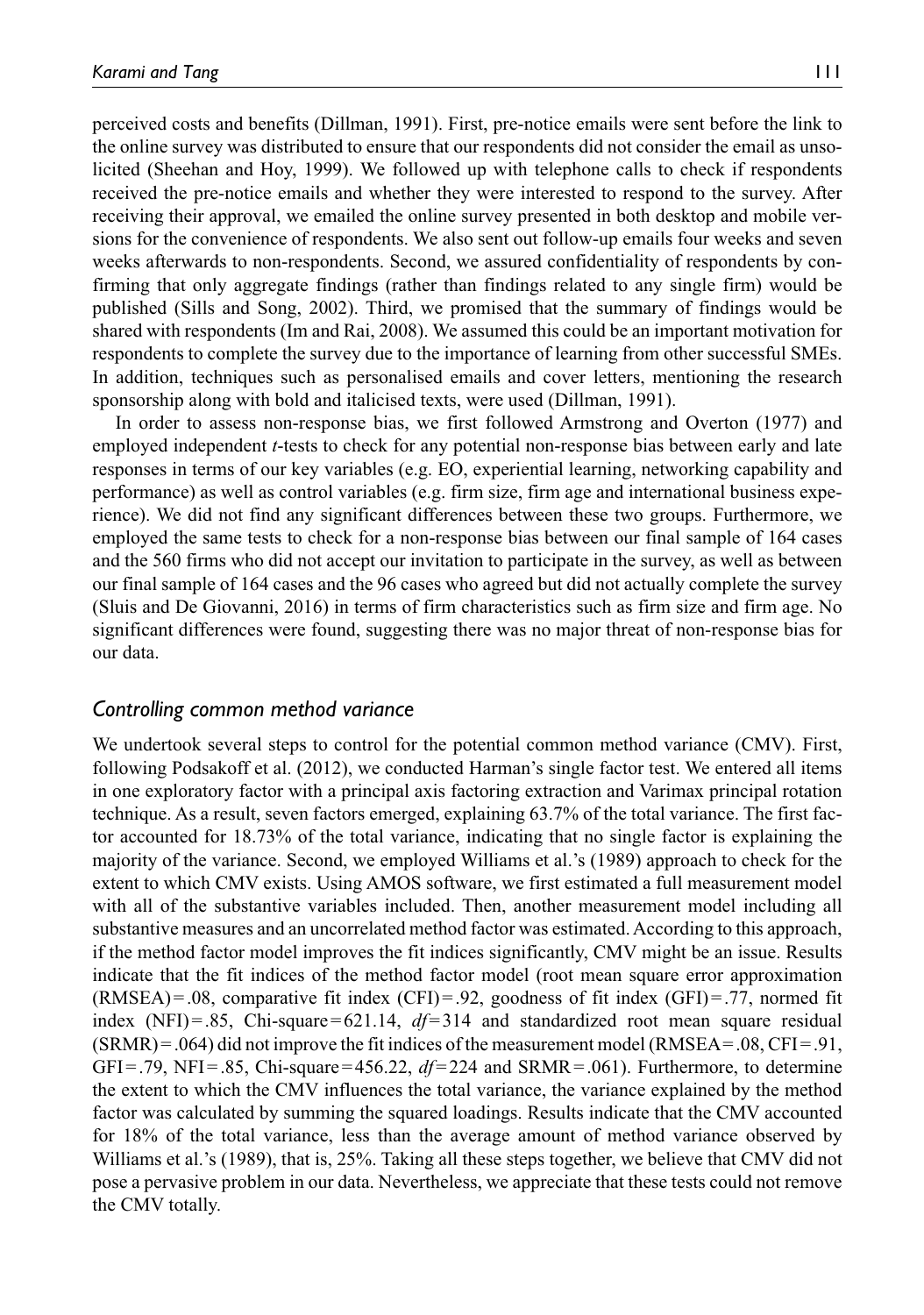perceived costs and benefits (Dillman, 1991). First, pre-notice emails were sent before the link to the online survey was distributed to ensure that our respondents did not consider the email as unsolicited (Sheehan and Hoy, 1999). We followed up with telephone calls to check if respondents received the pre-notice emails and whether they were interested to respond to the survey. After receiving their approval, we emailed the online survey presented in both desktop and mobile versions for the convenience of respondents. We also sent out follow-up emails four weeks and seven weeks afterwards to non-respondents. Second, we assured confidentiality of respondents by confirming that only aggregate findings (rather than findings related to any single firm) would be published (Sills and Song, 2002). Third, we promised that the summary of findings would be shared with respondents (Im and Rai, 2008). We assumed this could be an important motivation for respondents to complete the survey due to the importance of learning from other successful SMEs. In addition, techniques such as personalised emails and cover letters, mentioning the research sponsorship along with bold and italicised texts, were used (Dillman, 1991).

In order to assess non-response bias, we first followed Armstrong and Overton (1977) and employed independent *t*-tests to check for any potential non-response bias between early and late responses in terms of our key variables (e.g. EO, experiential learning, networking capability and performance) as well as control variables (e.g. firm size, firm age and international business experience). We did not find any significant differences between these two groups. Furthermore, we employed the same tests to check for a non-response bias between our final sample of 164 cases and the 560 firms who did not accept our invitation to participate in the survey, as well as between our final sample of 164 cases and the 96 cases who agreed but did not actually complete the survey (Sluis and De Giovanni, 2016) in terms of firm characteristics such as firm size and firm age. No significant differences were found, suggesting there was no major threat of non-response bias for our data.

### *Controlling common method variance*

We undertook several steps to control for the potential common method variance (CMV). First, following Podsakoff et al. (2012), we conducted Harman's single factor test. We entered all items in one exploratory factor with a principal axis factoring extraction and Varimax principal rotation technique. As a result, seven factors emerged, explaining 63.7% of the total variance. The first factor accounted for 18.73% of the total variance, indicating that no single factor is explaining the majority of the variance. Second, we employed Williams et al.'s (1989) approach to check for the extent to which CMV exists. Using AMOS software, we first estimated a full measurement model with all of the substantive variables included. Then, another measurement model including all substantive measures and an uncorrelated method factor was estimated. According to this approach, if the method factor model improves the fit indices significantly, CMV might be an issue. Results indicate that the fit indices of the method factor model (root mean square error approximation  $(RMSEA) = .08$ , comparative fit index  $(CFI) = .92$ , goodness of fit index  $(GFI) = .77$ , normed fit index  $(NFI) = .85$ , Chi-square=621.14,  $df=314$  and standardized root mean square residual  $(SRMR) = .064$ ) did not improve the fit indices of the measurement model  $(RMSEA = .08, CFI = .91$ , GFI=.79, NFI=.85, Chi-square=456.22, *df*=224 and SRMR=.061). Furthermore, to determine the extent to which the CMV influences the total variance, the variance explained by the method factor was calculated by summing the squared loadings. Results indicate that the CMV accounted for 18% of the total variance, less than the average amount of method variance observed by Williams et al.'s (1989), that is, 25%. Taking all these steps together, we believe that CMV did not pose a pervasive problem in our data. Nevertheless, we appreciate that these tests could not remove the CMV totally.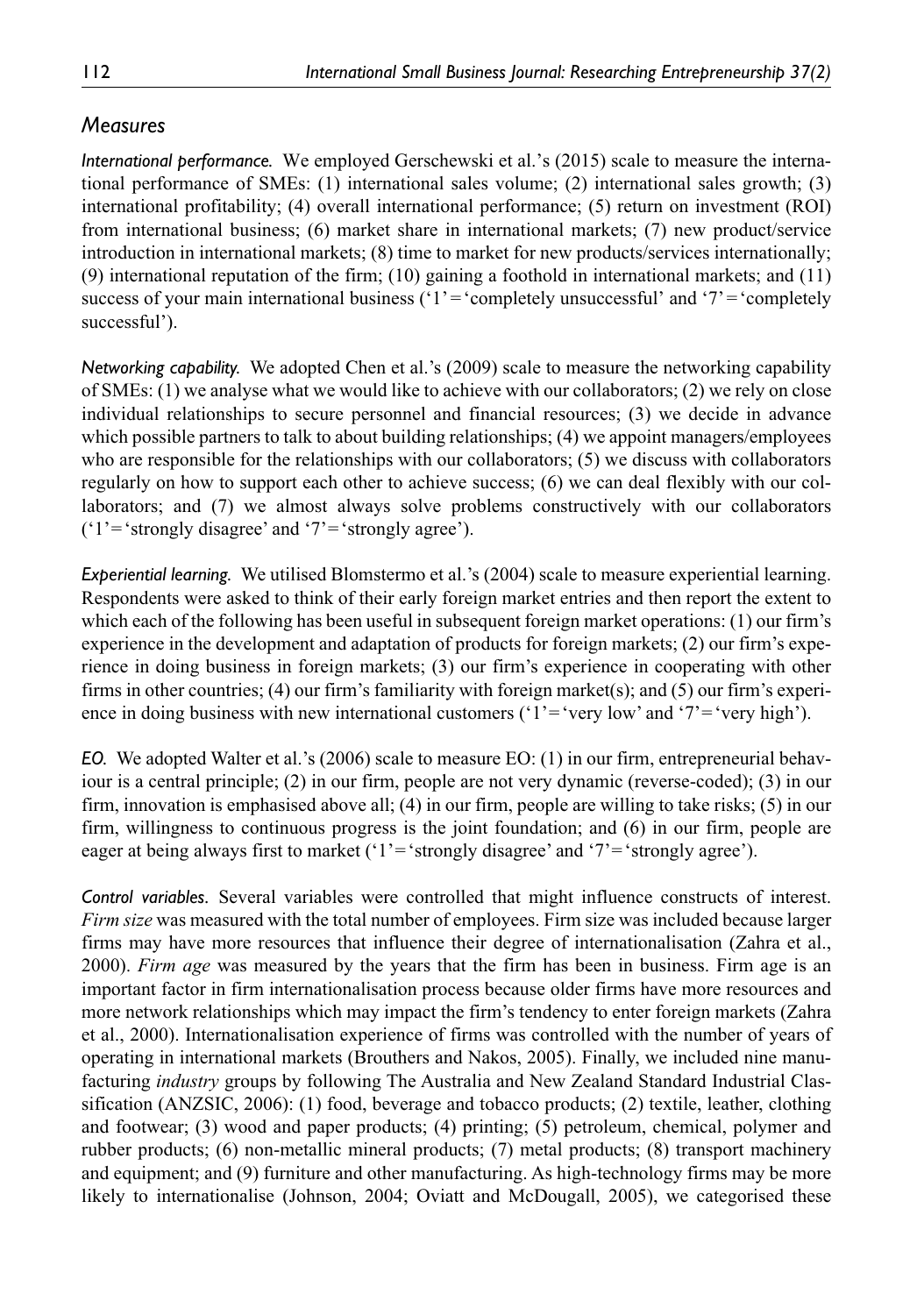# *Measures*

*International performance.* We employed Gerschewski et al.'s (2015) scale to measure the international performance of SMEs: (1) international sales volume; (2) international sales growth; (3) international profitability; (4) overall international performance; (5) return on investment (ROI) from international business; (6) market share in international markets; (7) new product/service introduction in international markets; (8) time to market for new products/services internationally; (9) international reputation of the firm; (10) gaining a foothold in international markets; and (11) success of your main international business  $(1)$ <sup> $=$ </sup> completely unsuccessful' and  $(7)$ <sup> $=$ </sup> completely successful').

*Networking capability.* We adopted Chen et al.'s (2009) scale to measure the networking capability of SMEs: (1) we analyse what we would like to achieve with our collaborators; (2) we rely on close individual relationships to secure personnel and financial resources; (3) we decide in advance which possible partners to talk to about building relationships; (4) we appoint managers/employees who are responsible for the relationships with our collaborators; (5) we discuss with collaborators regularly on how to support each other to achieve success; (6) we can deal flexibly with our collaborators; and (7) we almost always solve problems constructively with our collaborators ('1'='strongly disagree' and '7'='strongly agree').

*Experiential learning.* We utilised Blomstermo et al.'s (2004) scale to measure experiential learning. Respondents were asked to think of their early foreign market entries and then report the extent to which each of the following has been useful in subsequent foreign market operations: (1) our firm's experience in the development and adaptation of products for foreign markets; (2) our firm's experience in doing business in foreign markets; (3) our firm's experience in cooperating with other firms in other countries; (4) our firm's familiarity with foreign market(s); and (5) our firm's experience in doing business with new international customers ('1'='very low' and '7'='very high').

*EO.* We adopted Walter et al.'s (2006) scale to measure EO: (1) in our firm, entrepreneurial behaviour is a central principle; (2) in our firm, people are not very dynamic (reverse-coded); (3) in our firm, innovation is emphasised above all; (4) in our firm, people are willing to take risks; (5) in our firm, willingness to continuous progress is the joint foundation; and (6) in our firm, people are eager at being always first to market ('1'='strongly disagree' and '7'='strongly agree').

*Control variables.* Several variables were controlled that might influence constructs of interest. *Firm size* was measured with the total number of employees. Firm size was included because larger firms may have more resources that influence their degree of internationalisation (Zahra et al., 2000). *Firm age* was measured by the years that the firm has been in business. Firm age is an important factor in firm internationalisation process because older firms have more resources and more network relationships which may impact the firm's tendency to enter foreign markets (Zahra et al., 2000). Internationalisation experience of firms was controlled with the number of years of operating in international markets (Brouthers and Nakos, 2005). Finally, we included nine manufacturing *industry* groups by following The Australia and New Zealand Standard Industrial Classification (ANZSIC, 2006): (1) food, beverage and tobacco products; (2) textile, leather, clothing and footwear; (3) wood and paper products; (4) printing; (5) petroleum, chemical, polymer and rubber products; (6) non-metallic mineral products; (7) metal products; (8) transport machinery and equipment; and (9) furniture and other manufacturing. As high-technology firms may be more likely to internationalise (Johnson, 2004; Oviatt and McDougall, 2005), we categorised these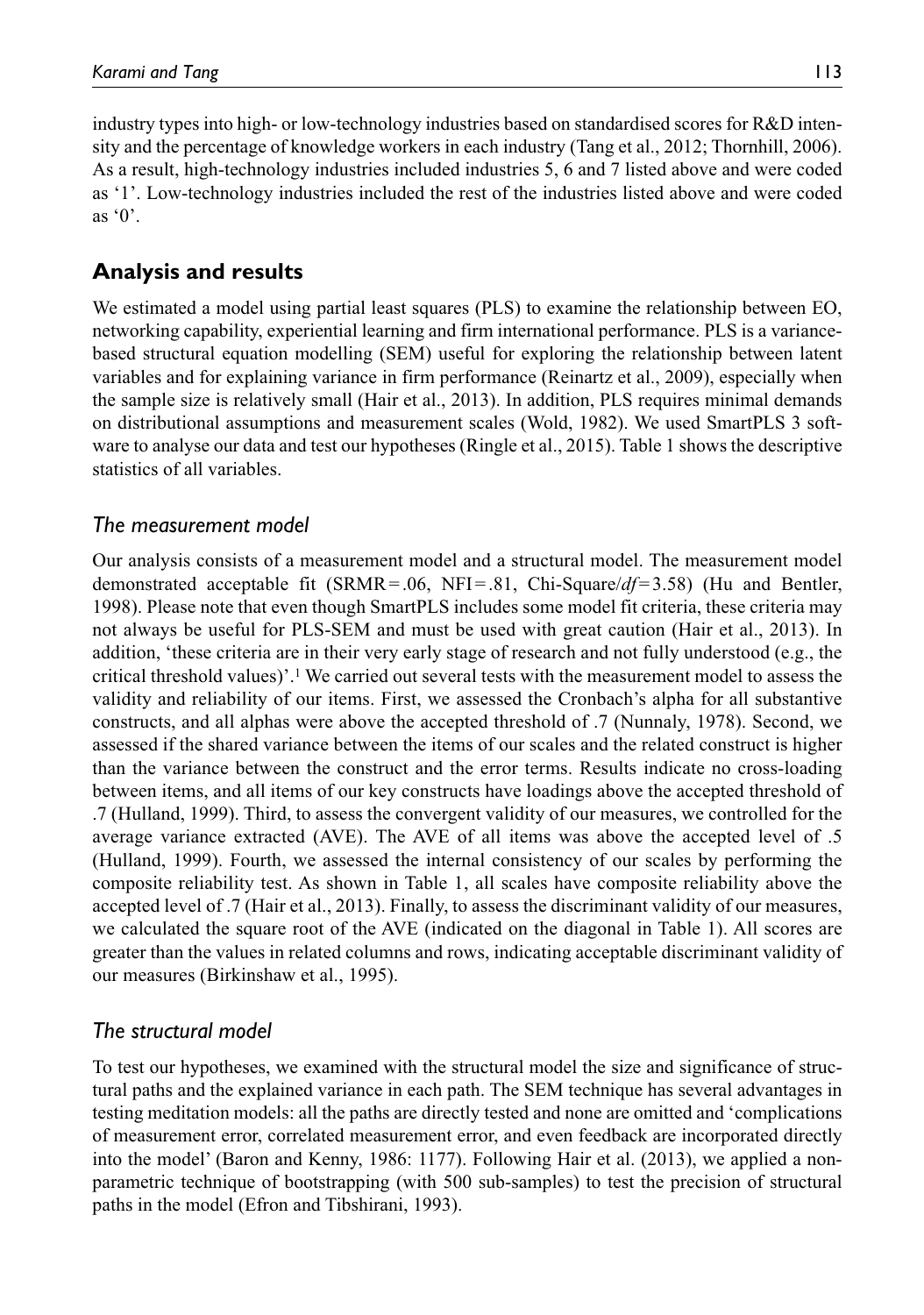industry types into high- or low-technology industries based on standardised scores for R&D intensity and the percentage of knowledge workers in each industry (Tang et al., 2012; Thornhill, 2006). As a result, high-technology industries included industries 5, 6 and 7 listed above and were coded as '1'. Low-technology industries included the rest of the industries listed above and were coded as  $\degree 0$ .

# **Analysis and results**

We estimated a model using partial least squares (PLS) to examine the relationship between EO, networking capability, experiential learning and firm international performance. PLS is a variancebased structural equation modelling (SEM) useful for exploring the relationship between latent variables and for explaining variance in firm performance (Reinartz et al., 2009), especially when the sample size is relatively small (Hair et al., 2013). In addition, PLS requires minimal demands on distributional assumptions and measurement scales (Wold, 1982). We used SmartPLS 3 software to analyse our data and test our hypotheses (Ringle et al., 2015). Table 1 shows the descriptive statistics of all variables.

# *The measurement model*

Our analysis consists of a measurement model and a structural model. The measurement model demonstrated acceptable fit (SRMR=.06, NFI=.81, Chi-Square/*df*=3.58) (Hu and Bentler, 1998). Please note that even though SmartPLS includes some model fit criteria, these criteria may not always be useful for PLS-SEM and must be used with great caution (Hair et al., 2013). In addition, 'these criteria are in their very early stage of research and not fully understood (e.g., the critical threshold values)'.1 We carried out several tests with the measurement model to assess the validity and reliability of our items. First, we assessed the Cronbach's alpha for all substantive constructs, and all alphas were above the accepted threshold of .7 (Nunnaly, 1978). Second, we assessed if the shared variance between the items of our scales and the related construct is higher than the variance between the construct and the error terms. Results indicate no cross-loading between items, and all items of our key constructs have loadings above the accepted threshold of .7 (Hulland, 1999). Third, to assess the convergent validity of our measures, we controlled for the average variance extracted (AVE). The AVE of all items was above the accepted level of .5 (Hulland, 1999). Fourth, we assessed the internal consistency of our scales by performing the composite reliability test. As shown in Table 1, all scales have composite reliability above the accepted level of .7 (Hair et al., 2013). Finally, to assess the discriminant validity of our measures, we calculated the square root of the AVE (indicated on the diagonal in Table 1). All scores are greater than the values in related columns and rows, indicating acceptable discriminant validity of our measures (Birkinshaw et al., 1995).

# *The structural model*

To test our hypotheses, we examined with the structural model the size and significance of structural paths and the explained variance in each path. The SEM technique has several advantages in testing meditation models: all the paths are directly tested and none are omitted and 'complications of measurement error, correlated measurement error, and even feedback are incorporated directly into the model' (Baron and Kenny, 1986: 1177). Following Hair et al. (2013), we applied a nonparametric technique of bootstrapping (with 500 sub-samples) to test the precision of structural paths in the model (Efron and Tibshirani, 1993).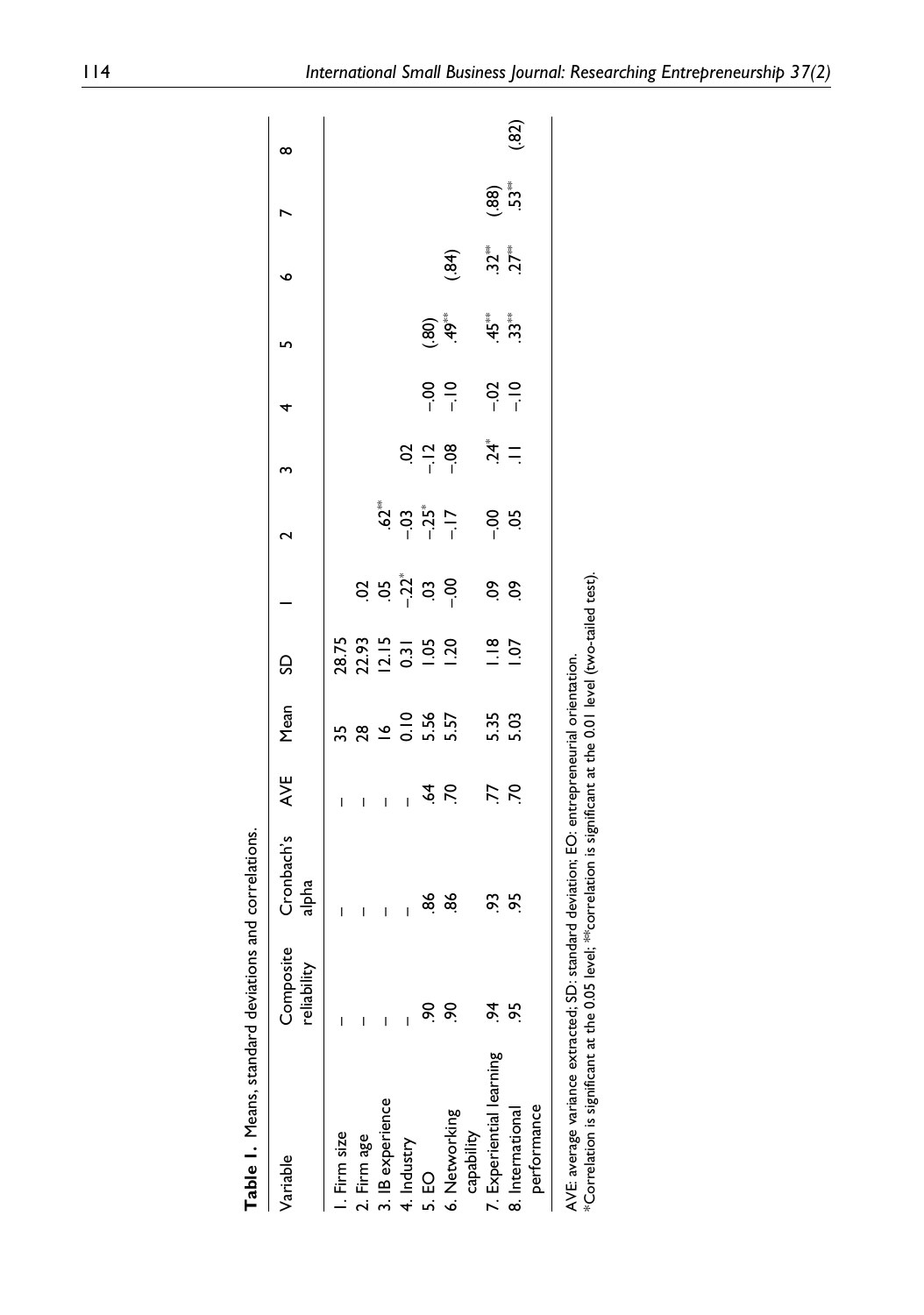| Table 1. Means, standard deviations and correlations.                           |                              |                                                                                                                                    |                          |                                 |                                        |                                                                              |                            |                                  |                         |                 |                             |               |      |
|---------------------------------------------------------------------------------|------------------------------|------------------------------------------------------------------------------------------------------------------------------------|--------------------------|---------------------------------|----------------------------------------|------------------------------------------------------------------------------|----------------------------|----------------------------------|-------------------------|-----------------|-----------------------------|---------------|------|
| Variable                                                                        | Composite<br>lity<br>reliabi | Cronbach's<br>$a$ lpha                                                                                                             | AVE                      | Mean                            | g                                      |                                                                              | N                          | m                                | 4                       | L               | o                           |               | ∞    |
| Firm size                                                                       |                              | I                                                                                                                                  | I                        |                                 |                                        |                                                                              |                            |                                  |                         |                 |                             |               |      |
| 2. Firm age                                                                     |                              | I                                                                                                                                  | I                        |                                 |                                        |                                                                              |                            |                                  |                         |                 |                             |               |      |
| 3. IB experience                                                                |                              | I                                                                                                                                  | I                        |                                 |                                        |                                                                              |                            |                                  |                         |                 |                             |               |      |
| 4. Industry                                                                     |                              | I                                                                                                                                  | $\overline{\phantom{a}}$ |                                 |                                        |                                                                              |                            |                                  |                         |                 |                             |               |      |
| 5. EO                                                                           | ଚ୍                           |                                                                                                                                    |                          | 3<br>8 3 4 5 5 5 8<br>5 5 5 5 7 | 28.75<br>22.93<br>0.31<br>0.31<br>1.20 | $\ddot{a}$ $\ddot{a}$ $\ddot{b}$ $\ddot{c}$ $\ddot{c}$ $\ddot{c}$ $\ddot{c}$ | ្មី<br>ភូមិ ភូមិ ÷<br>ត្រី | $8\frac{1}{1}$ $\frac{1}{1}$     |                         |                 |                             |               |      |
| 6. Networking                                                                   | ငွ                           | ಹೆ ಹೆ                                                                                                                              | $\dot{x}$ is             |                                 |                                        |                                                                              |                            |                                  | 8.2                     | (80)            | $(*84)$                     |               |      |
| capability                                                                      |                              |                                                                                                                                    |                          |                                 |                                        |                                                                              |                            |                                  |                         |                 |                             |               |      |
| 7. Experiential learning                                                        | र्द्                         | 3 se                                                                                                                               |                          |                                 | $\frac{8}{1}$                          | $\frac{8}{3}$                                                                | $rac{6}{5}$                | $\stackrel{*}{\vec{A}}$ $\equiv$ |                         | ن<br>پوځي<br>جو | $\frac{3}{2}$ $\frac{1}{2}$ |               |      |
| 8. International                                                                | 5S                           |                                                                                                                                    | <b>77</b><br>21          | 5.35<br>5.03                    | $\overline{5}$                         |                                                                              |                            |                                  | $rac{1}{2}$ $rac{1}{2}$ |                 |                             | (.88)<br>53ື້ | (32) |
| performance                                                                     |                              |                                                                                                                                    |                          |                                 |                                        |                                                                              |                            |                                  |                         |                 |                             |               |      |
| AVE: average variance extracted; SD:<br>*Correlation is significant at the 0.05 |                              | level; *** correlation is significant at the 0.01 level (two-tailed test).<br>standard deviation; EO: entrepreneurial orientation. |                          |                                 |                                        |                                                                              |                            |                                  |                         |                 |                             |               |      |
|                                                                                 |                              |                                                                                                                                    |                          |                                 |                                        |                                                                              |                            |                                  |                         |                 |                             |               |      |

 $\overline{1}$ 

 $\overline{1}$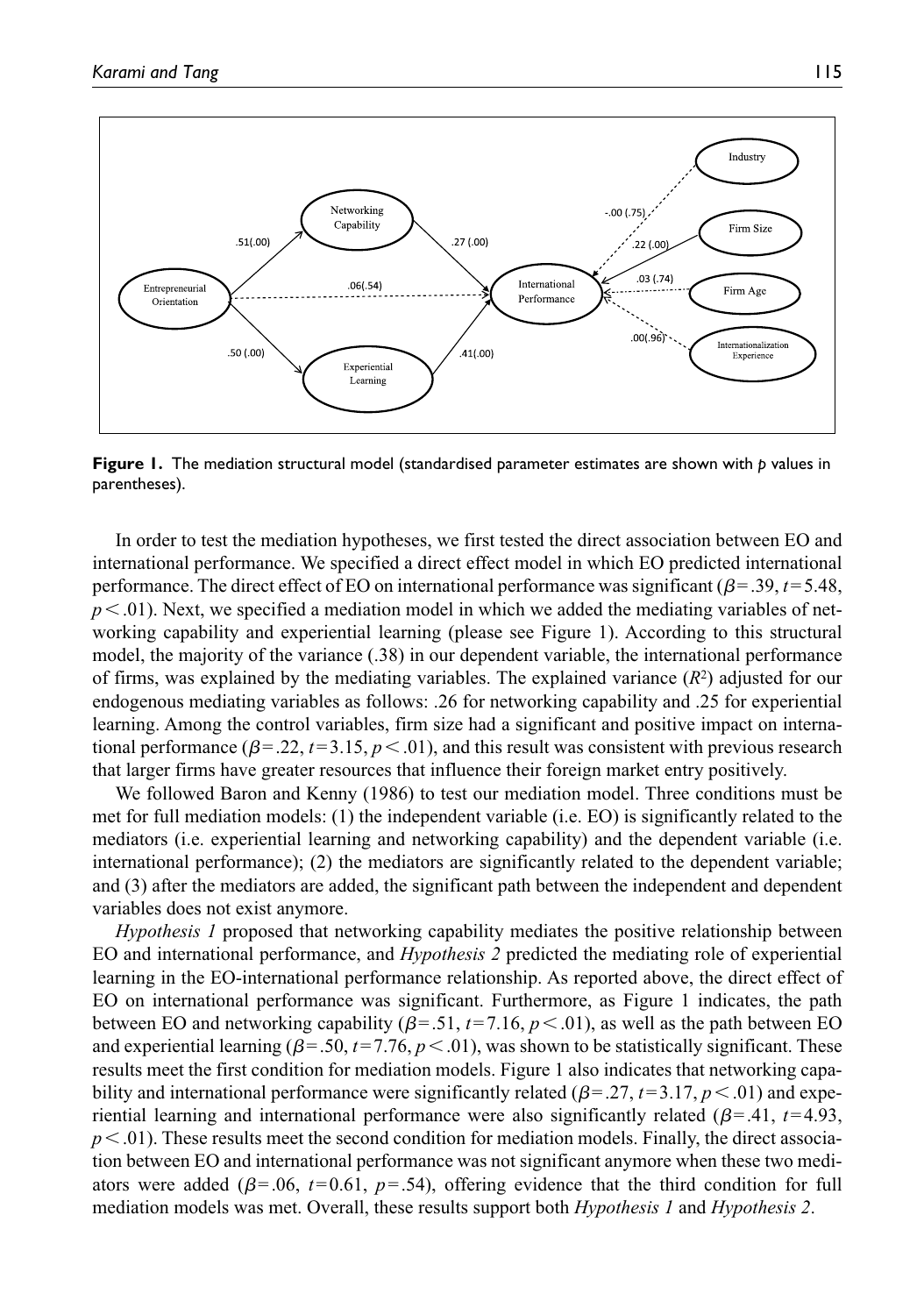

**Figure 1.** The mediation structural model (standardised parameter estimates are shown with *p* values in parentheses).

In order to test the mediation hypotheses, we first tested the direct association between EO and international performance. We specified a direct effect model in which EO predicted international performance. The direct effect of EO on international performance was significant (β=.39, *t*=5.48,  $p<.01$ ). Next, we specified a mediation model in which we added the mediating variables of networking capability and experiential learning (please see Figure 1). According to this structural model, the majority of the variance (.38) in our dependent variable, the international performance of firms, was explained by the mediating variables. The explained variance  $(R^2)$  adjusted for our endogenous mediating variables as follows: .26 for networking capability and .25 for experiential learning. Among the control variables, firm size had a significant and positive impact on international performance  $(\beta = .22, t = 3.15, p < .01)$ , and this result was consistent with previous research that larger firms have greater resources that influence their foreign market entry positively.

We followed Baron and Kenny (1986) to test our mediation model. Three conditions must be met for full mediation models: (1) the independent variable (i.e. EO) is significantly related to the mediators (i.e. experiential learning and networking capability) and the dependent variable (i.e. international performance); (2) the mediators are significantly related to the dependent variable; and (3) after the mediators are added, the significant path between the independent and dependent variables does not exist anymore.

*Hypothesis 1* proposed that networking capability mediates the positive relationship between EO and international performance, and *Hypothesis 2* predicted the mediating role of experiential learning in the EO-international performance relationship. As reported above, the direct effect of EO on international performance was significant. Furthermore, as Figure 1 indicates, the path between EO and networking capability  $(\beta = .51, t = 7.16, p < .01)$ , as well as the path between EO and experiential learning  $(\beta = 0.50, t = 7.76, p < 0.01)$ , was shown to be statistically significant. These results meet the first condition for mediation models. Figure 1 also indicates that networking capability and international performance were significantly related ( $\beta$ =.27, *t*=3.17, *p* <.01) and experiential learning and international performance were also significantly related ( $\beta$ =.41,  $t$ =4.93,  $p<.01$ ). These results meet the second condition for mediation models. Finally, the direct association between EO and international performance was not significant anymore when these two mediators were added ( $\beta$ =.06,  $t$ =0.61,  $p$ =.54), offering evidence that the third condition for full mediation models was met. Overall, these results support both *Hypothesis 1* and *Hypothesis 2*.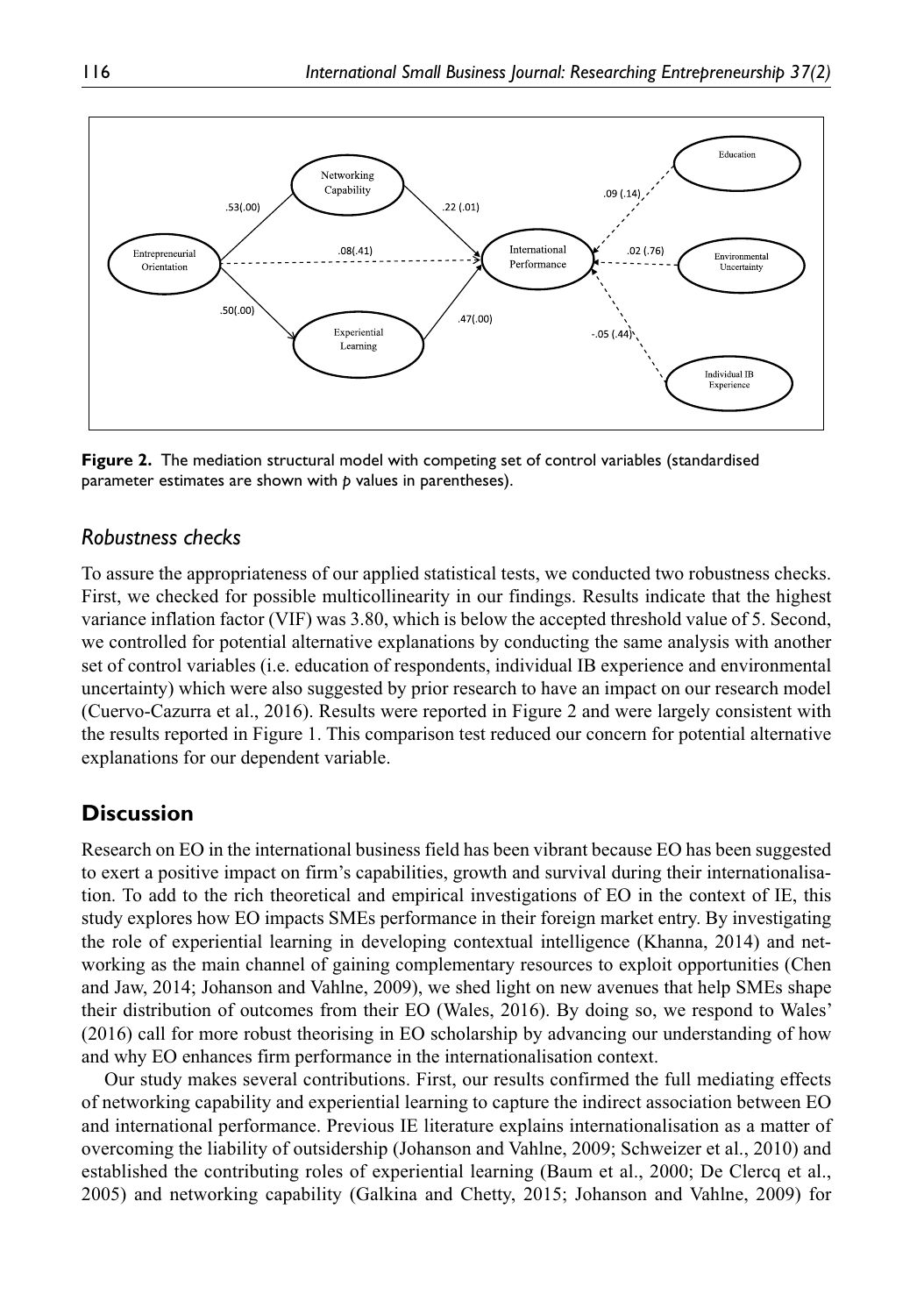

**Figure 2.** The mediation structural model with competing set of control variables (standardised parameter estimates are shown with *p* values in parentheses).

### *Robustness checks*

To assure the appropriateness of our applied statistical tests, we conducted two robustness checks. First, we checked for possible multicollinearity in our findings. Results indicate that the highest variance inflation factor (VIF) was 3.80, which is below the accepted threshold value of 5. Second, we controlled for potential alternative explanations by conducting the same analysis with another set of control variables (i.e. education of respondents, individual IB experience and environmental uncertainty) which were also suggested by prior research to have an impact on our research model (Cuervo-Cazurra et al., 2016). Results were reported in Figure 2 and were largely consistent with the results reported in Figure 1. This comparison test reduced our concern for potential alternative explanations for our dependent variable.

# **Discussion**

Research on EO in the international business field has been vibrant because EO has been suggested to exert a positive impact on firm's capabilities, growth and survival during their internationalisation. To add to the rich theoretical and empirical investigations of EO in the context of IE, this study explores how EO impacts SMEs performance in their foreign market entry. By investigating the role of experiential learning in developing contextual intelligence (Khanna, 2014) and networking as the main channel of gaining complementary resources to exploit opportunities (Chen and Jaw, 2014; Johanson and Vahlne, 2009), we shed light on new avenues that help SMEs shape their distribution of outcomes from their EO (Wales, 2016). By doing so, we respond to Wales' (2016) call for more robust theorising in EO scholarship by advancing our understanding of how and why EO enhances firm performance in the internationalisation context.

Our study makes several contributions. First, our results confirmed the full mediating effects of networking capability and experiential learning to capture the indirect association between EO and international performance. Previous IE literature explains internationalisation as a matter of overcoming the liability of outsidership (Johanson and Vahlne, 2009; Schweizer et al., 2010) and established the contributing roles of experiential learning (Baum et al., 2000; De Clercq et al., 2005) and networking capability (Galkina and Chetty, 2015; Johanson and Vahlne, 2009) for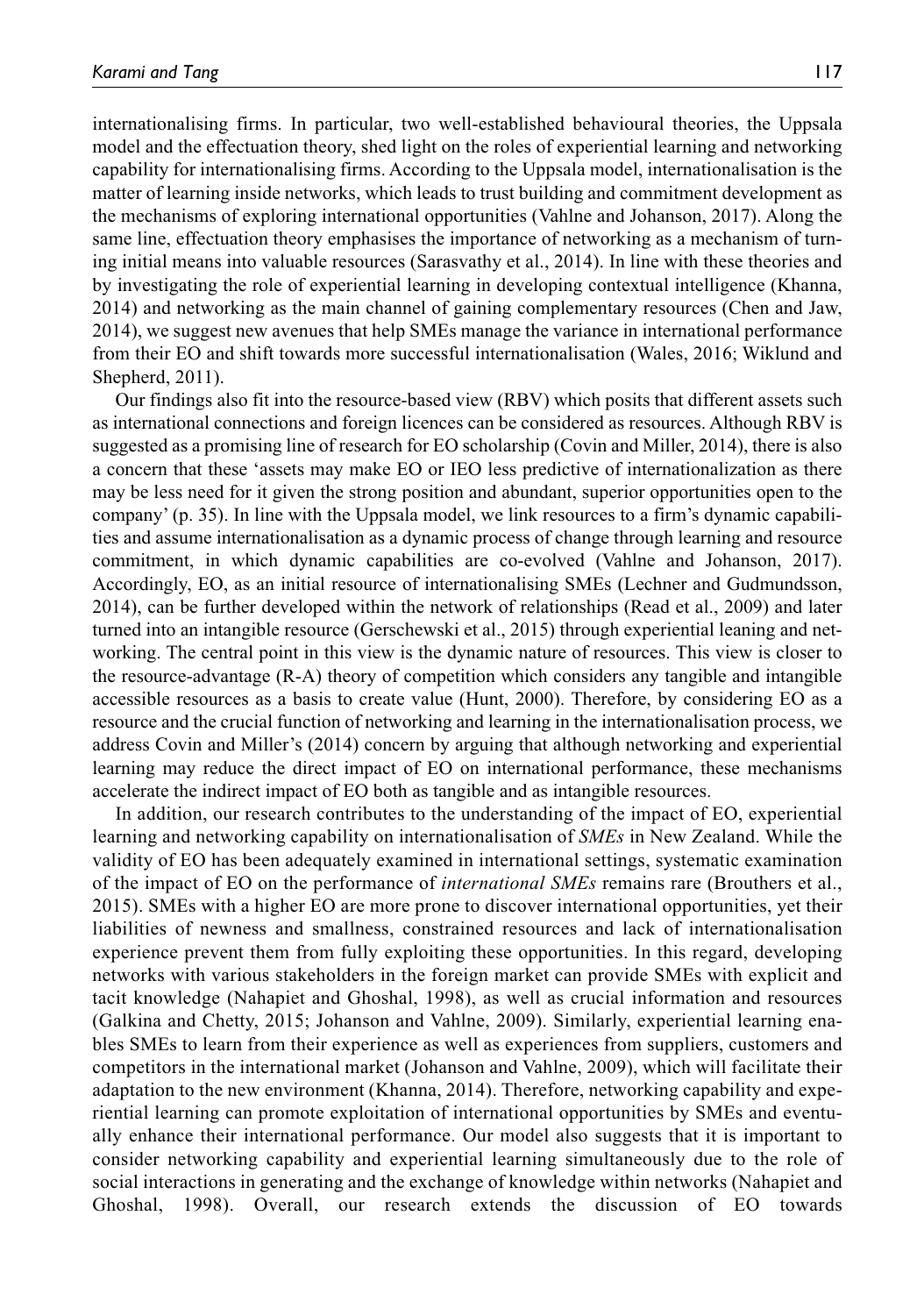internationalising firms. In particular, two well-established behavioural theories, the Uppsala model and the effectuation theory, shed light on the roles of experiential learning and networking capability for internationalising firms. According to the Uppsala model, internationalisation is the matter of learning inside networks, which leads to trust building and commitment development as the mechanisms of exploring international opportunities (Vahlne and Johanson, 2017). Along the same line, effectuation theory emphasises the importance of networking as a mechanism of turning initial means into valuable resources (Sarasvathy et al., 2014). In line with these theories and by investigating the role of experiential learning in developing contextual intelligence (Khanna, 2014) and networking as the main channel of gaining complementary resources (Chen and Jaw, 2014), we suggest new avenues that help SMEs manage the variance in international performance from their EO and shift towards more successful internationalisation (Wales, 2016; Wiklund and Shepherd, 2011).

Our findings also fit into the resource-based view (RBV) which posits that different assets such as international connections and foreign licences can be considered as resources. Although RBV is suggested as a promising line of research for EO scholarship (Covin and Miller, 2014), there is also a concern that these 'assets may make EO or IEO less predictive of internationalization as there may be less need for it given the strong position and abundant, superior opportunities open to the company' (p. 35). In line with the Uppsala model, we link resources to a firm's dynamic capabilities and assume internationalisation as a dynamic process of change through learning and resource commitment, in which dynamic capabilities are co-evolved (Vahlne and Johanson, 2017). Accordingly, EO, as an initial resource of internationalising SMEs (Lechner and Gudmundsson, 2014), can be further developed within the network of relationships (Read et al., 2009) and later turned into an intangible resource (Gerschewski et al., 2015) through experiential leaning and networking. The central point in this view is the dynamic nature of resources. This view is closer to the resource-advantage (R-A) theory of competition which considers any tangible and intangible accessible resources as a basis to create value (Hunt, 2000). Therefore, by considering EO as a resource and the crucial function of networking and learning in the internationalisation process, we address Covin and Miller's (2014) concern by arguing that although networking and experiential learning may reduce the direct impact of EO on international performance, these mechanisms accelerate the indirect impact of EO both as tangible and as intangible resources.

In addition, our research contributes to the understanding of the impact of EO, experiential learning and networking capability on internationalisation of *SMEs* in New Zealand. While the validity of EO has been adequately examined in international settings, systematic examination of the impact of EO on the performance of *international SMEs* remains rare (Brouthers et al., 2015). SMEs with a higher EO are more prone to discover international opportunities, yet their liabilities of newness and smallness, constrained resources and lack of internationalisation experience prevent them from fully exploiting these opportunities. In this regard, developing networks with various stakeholders in the foreign market can provide SMEs with explicit and tacit knowledge (Nahapiet and Ghoshal, 1998), as well as crucial information and resources (Galkina and Chetty, 2015; Johanson and Vahlne, 2009). Similarly, experiential learning enables SMEs to learn from their experience as well as experiences from suppliers, customers and competitors in the international market (Johanson and Vahlne, 2009), which will facilitate their adaptation to the new environment (Khanna, 2014). Therefore, networking capability and experiential learning can promote exploitation of international opportunities by SMEs and eventually enhance their international performance. Our model also suggests that it is important to consider networking capability and experiential learning simultaneously due to the role of social interactions in generating and the exchange of knowledge within networks (Nahapiet and Ghoshal, 1998). Overall, our research extends the discussion of EO towards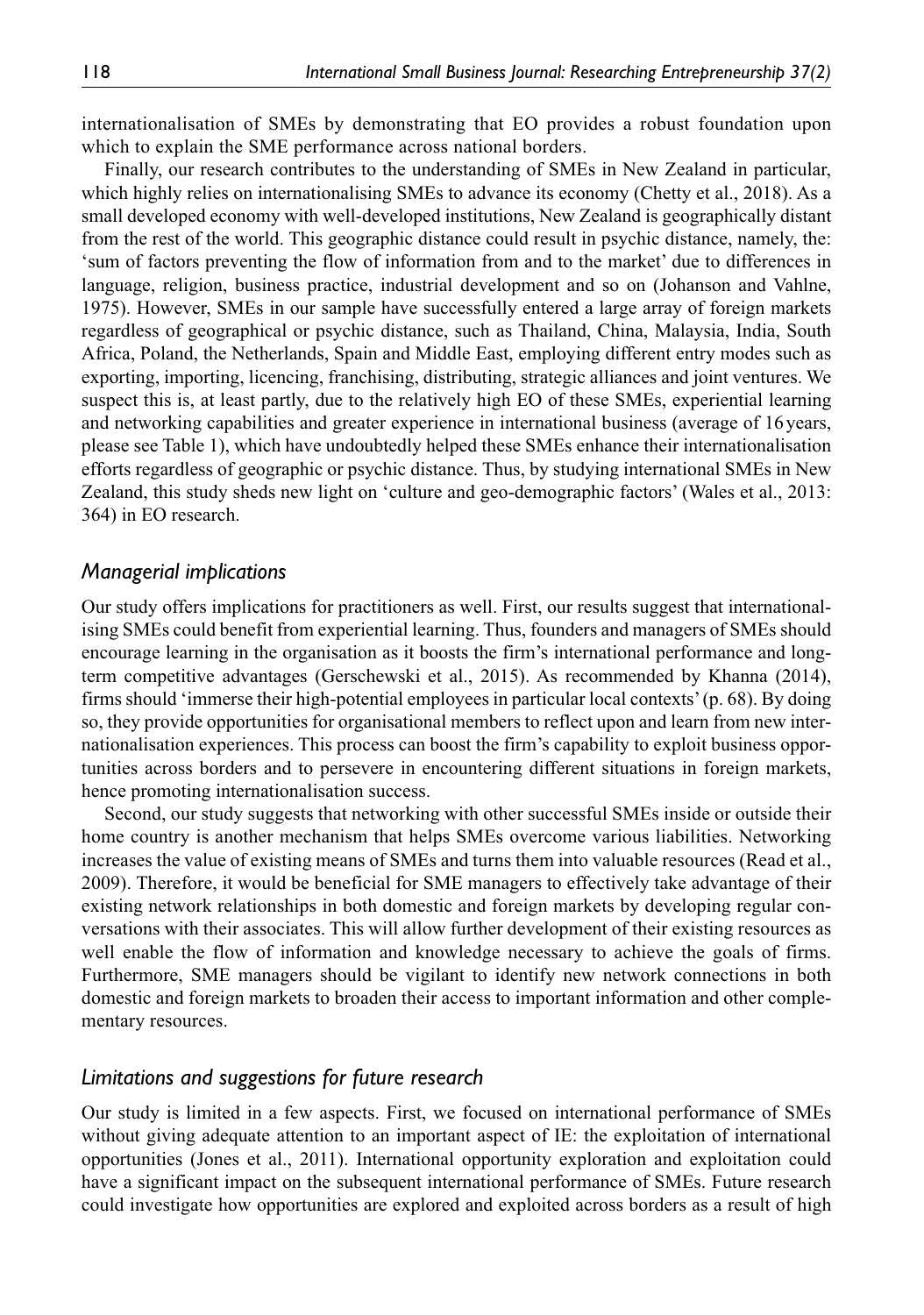internationalisation of SMEs by demonstrating that EO provides a robust foundation upon which to explain the SME performance across national borders.

Finally, our research contributes to the understanding of SMEs in New Zealand in particular, which highly relies on internationalising SMEs to advance its economy (Chetty et al., 2018). As a small developed economy with well-developed institutions, New Zealand is geographically distant from the rest of the world. This geographic distance could result in psychic distance, namely, the: 'sum of factors preventing the flow of information from and to the market' due to differences in language, religion, business practice, industrial development and so on (Johanson and Vahlne, 1975). However, SMEs in our sample have successfully entered a large array of foreign markets regardless of geographical or psychic distance, such as Thailand, China, Malaysia, India, South Africa, Poland, the Netherlands, Spain and Middle East, employing different entry modes such as exporting, importing, licencing, franchising, distributing, strategic alliances and joint ventures. We suspect this is, at least partly, due to the relatively high EO of these SMEs, experiential learning and networking capabilities and greater experience in international business (average of 16years, please see Table 1), which have undoubtedly helped these SMEs enhance their internationalisation efforts regardless of geographic or psychic distance. Thus, by studying international SMEs in New Zealand, this study sheds new light on 'culture and geo-demographic factors' (Wales et al., 2013: 364) in EO research.

### *Managerial implications*

Our study offers implications for practitioners as well. First, our results suggest that internationalising SMEs could benefit from experiential learning. Thus, founders and managers of SMEs should encourage learning in the organisation as it boosts the firm's international performance and longterm competitive advantages (Gerschewski et al., 2015). As recommended by Khanna (2014), firms should 'immerse their high-potential employees in particular local contexts' (p. 68). By doing so, they provide opportunities for organisational members to reflect upon and learn from new internationalisation experiences. This process can boost the firm's capability to exploit business opportunities across borders and to persevere in encountering different situations in foreign markets, hence promoting internationalisation success.

Second, our study suggests that networking with other successful SMEs inside or outside their home country is another mechanism that helps SMEs overcome various liabilities. Networking increases the value of existing means of SMEs and turns them into valuable resources (Read et al., 2009). Therefore, it would be beneficial for SME managers to effectively take advantage of their existing network relationships in both domestic and foreign markets by developing regular conversations with their associates. This will allow further development of their existing resources as well enable the flow of information and knowledge necessary to achieve the goals of firms. Furthermore, SME managers should be vigilant to identify new network connections in both domestic and foreign markets to broaden their access to important information and other complementary resources.

### *Limitations and suggestions for future research*

Our study is limited in a few aspects. First, we focused on international performance of SMEs without giving adequate attention to an important aspect of IE: the exploitation of international opportunities (Jones et al., 2011). International opportunity exploration and exploitation could have a significant impact on the subsequent international performance of SMEs. Future research could investigate how opportunities are explored and exploited across borders as a result of high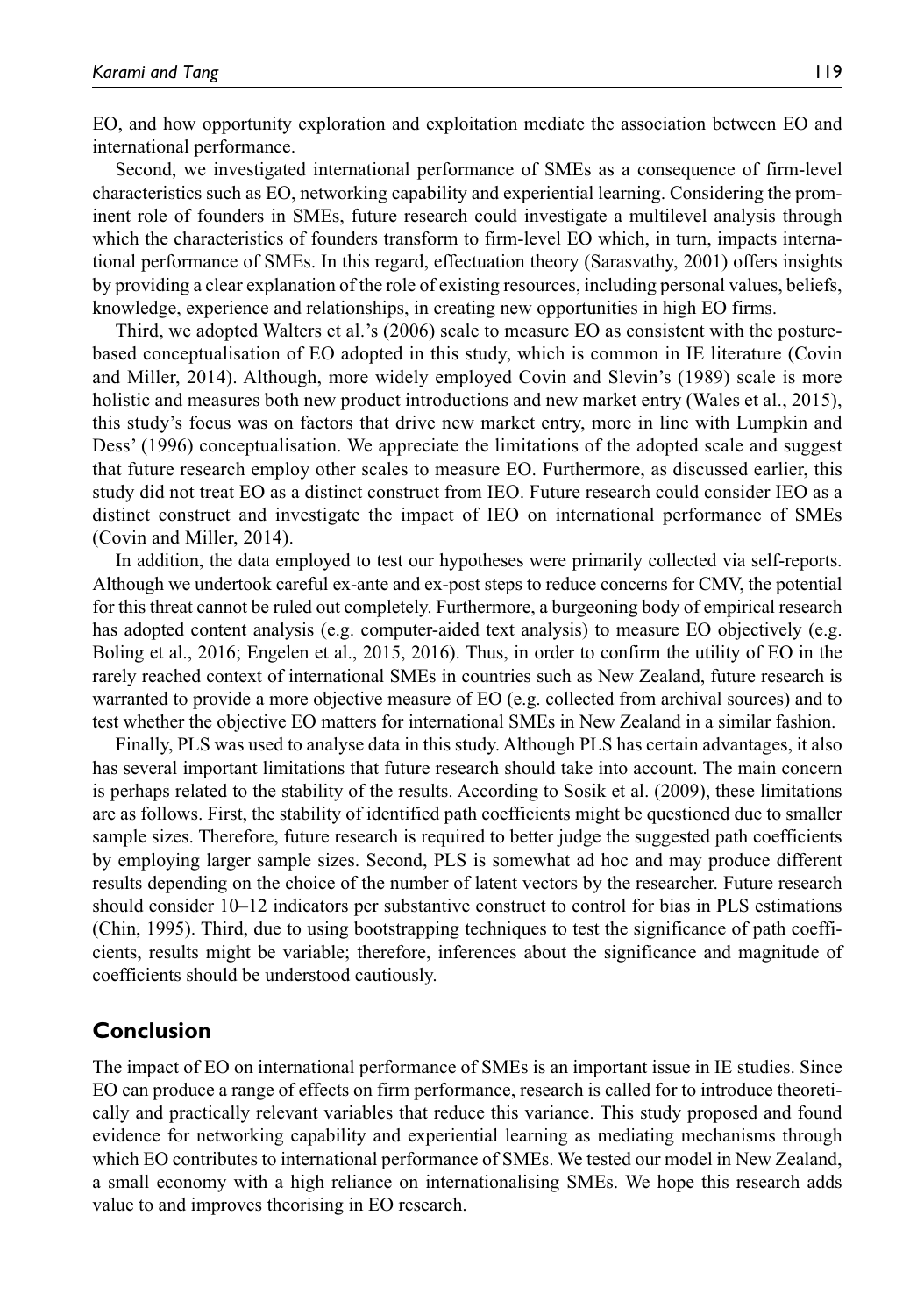EO, and how opportunity exploration and exploitation mediate the association between EO and international performance.

Second, we investigated international performance of SMEs as a consequence of firm-level characteristics such as EO, networking capability and experiential learning. Considering the prominent role of founders in SMEs, future research could investigate a multilevel analysis through which the characteristics of founders transform to firm-level EO which, in turn, impacts international performance of SMEs. In this regard, effectuation theory (Sarasvathy, 2001) offers insights by providing a clear explanation of the role of existing resources, including personal values, beliefs, knowledge, experience and relationships, in creating new opportunities in high EO firms.

Third, we adopted Walters et al.'s (2006) scale to measure EO as consistent with the posturebased conceptualisation of EO adopted in this study, which is common in IE literature (Covin and Miller, 2014). Although, more widely employed Covin and Slevin's (1989) scale is more holistic and measures both new product introductions and new market entry (Wales et al., 2015), this study's focus was on factors that drive new market entry, more in line with Lumpkin and Dess' (1996) conceptualisation. We appreciate the limitations of the adopted scale and suggest that future research employ other scales to measure EO. Furthermore, as discussed earlier, this study did not treat EO as a distinct construct from IEO. Future research could consider IEO as a distinct construct and investigate the impact of IEO on international performance of SMEs (Covin and Miller, 2014).

In addition, the data employed to test our hypotheses were primarily collected via self-reports. Although we undertook careful ex-ante and ex-post steps to reduce concerns for CMV, the potential for this threat cannot be ruled out completely. Furthermore, a burgeoning body of empirical research has adopted content analysis (e.g. computer-aided text analysis) to measure EO objectively (e.g. Boling et al., 2016; Engelen et al., 2015, 2016). Thus, in order to confirm the utility of EO in the rarely reached context of international SMEs in countries such as New Zealand, future research is warranted to provide a more objective measure of EO (e.g. collected from archival sources) and to test whether the objective EO matters for international SMEs in New Zealand in a similar fashion.

Finally, PLS was used to analyse data in this study. Although PLS has certain advantages, it also has several important limitations that future research should take into account. The main concern is perhaps related to the stability of the results. According to Sosik et al. (2009), these limitations are as follows. First, the stability of identified path coefficients might be questioned due to smaller sample sizes. Therefore, future research is required to better judge the suggested path coefficients by employing larger sample sizes. Second, PLS is somewhat ad hoc and may produce different results depending on the choice of the number of latent vectors by the researcher. Future research should consider 10–12 indicators per substantive construct to control for bias in PLS estimations (Chin, 1995). Third, due to using bootstrapping techniques to test the significance of path coefficients, results might be variable; therefore, inferences about the significance and magnitude of coefficients should be understood cautiously.

### **Conclusion**

The impact of EO on international performance of SMEs is an important issue in IE studies. Since EO can produce a range of effects on firm performance, research is called for to introduce theoretically and practically relevant variables that reduce this variance. This study proposed and found evidence for networking capability and experiential learning as mediating mechanisms through which EO contributes to international performance of SMEs. We tested our model in New Zealand, a small economy with a high reliance on internationalising SMEs. We hope this research adds value to and improves theorising in EO research.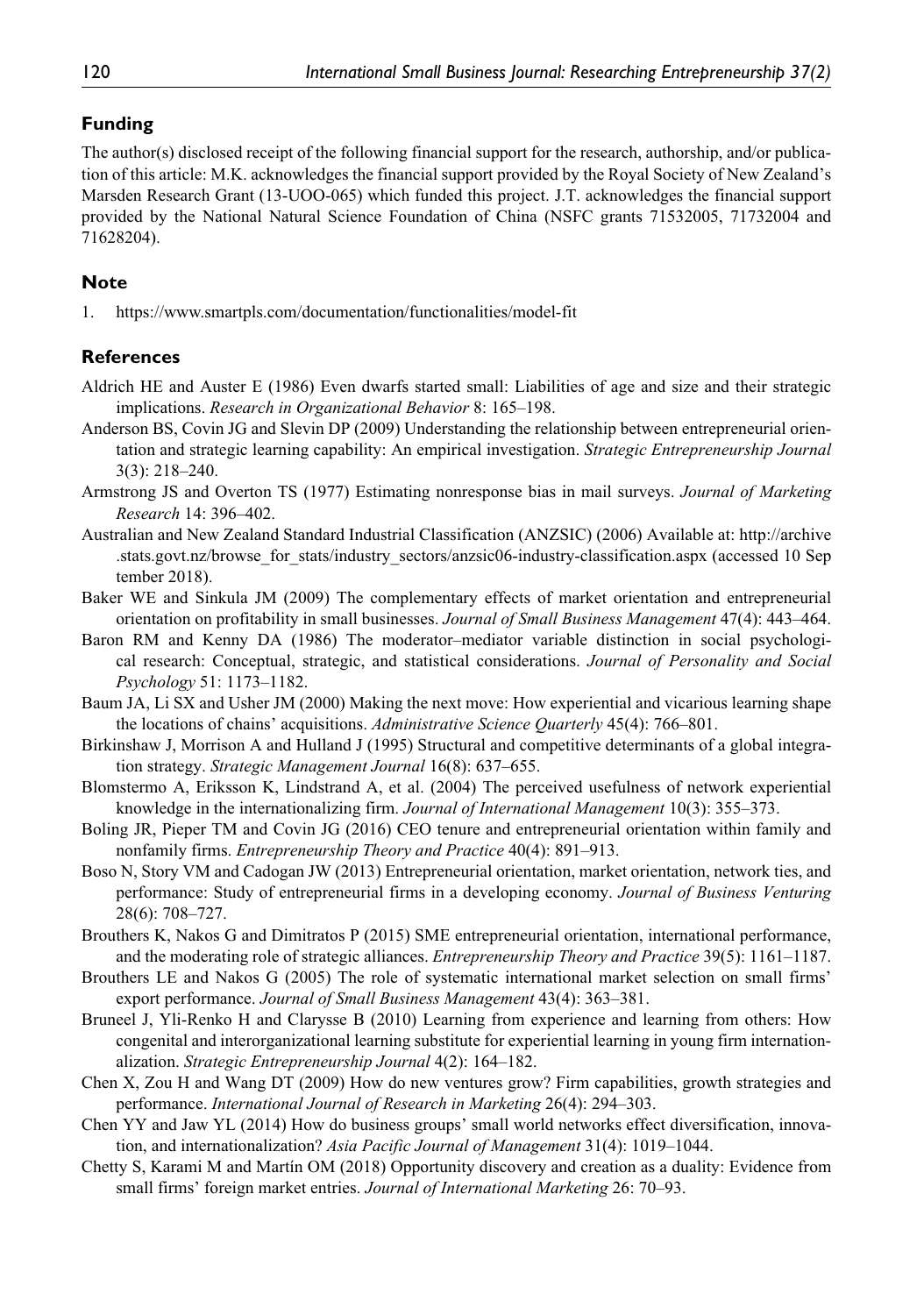## **Funding**

The author(s) disclosed receipt of the following financial support for the research, authorship, and/or publication of this article: M.K. acknowledges the financial support provided by the Royal Society of New Zealand's Marsden Research Grant (13-UOO-065) which funded this project. J.T. acknowledges the financial support provided by the National Natural Science Foundation of China (NSFC grants 71532005, 71732004 and 71628204).

## **Note**

1. <https://www.smartpls.com/documentation/functionalities/model-fit>

### **References**

- Aldrich HE and Auster E (1986) Even dwarfs started small: Liabilities of age and size and their strategic implications. *Research in Organizational Behavior* 8: 165–198.
- Anderson BS, Covin JG and Slevin DP (2009) Understanding the relationship between entrepreneurial orientation and strategic learning capability: An empirical investigation. *Strategic Entrepreneurship Journal* 3(3): 218–240.
- Armstrong JS and Overton TS (1977) Estimating nonresponse bias in mail surveys. *Journal of Marketing Research* 14: 396–402.
- Australian and New Zealand Standard Industrial Classification (ANZSIC) (2006) Available at: [http://archive](http://archive.stats.govt.nz/browse_for_stats/industry_sectors/anzsic06-industry-classification.aspx) [.stats.govt.nz/browse\\_for\\_stats/industry\\_sectors/anzsic06-industry-classification.aspx](http://archive.stats.govt.nz/browse_for_stats/industry_sectors/anzsic06-industry-classification.aspx) (accessed 10 Sep tember 2018).
- Baker WE and Sinkula JM (2009) The complementary effects of market orientation and entrepreneurial orientation on profitability in small businesses. *Journal of Small Business Management* 47(4): 443–464.
- Baron RM and Kenny DA (1986) The moderator–mediator variable distinction in social psychological research: Conceptual, strategic, and statistical considerations. *Journal of Personality and Social Psychology* 51: 1173–1182.
- Baum JA, Li SX and Usher JM (2000) Making the next move: How experiential and vicarious learning shape the locations of chains' acquisitions. *Administrative Science Quarterly* 45(4): 766–801.
- Birkinshaw J, Morrison A and Hulland J (1995) Structural and competitive determinants of a global integration strategy. *Strategic Management Journal* 16(8): 637–655.
- Blomstermo A, Eriksson K, Lindstrand A, et al. (2004) The perceived usefulness of network experiential knowledge in the internationalizing firm. *Journal of International Management* 10(3): 355–373.
- Boling JR, Pieper TM and Covin JG (2016) CEO tenure and entrepreneurial orientation within family and nonfamily firms. *Entrepreneurship Theory and Practice* 40(4): 891–913.
- Boso N, Story VM and Cadogan JW (2013) Entrepreneurial orientation, market orientation, network ties, and performance: Study of entrepreneurial firms in a developing economy. *Journal of Business Venturing* 28(6): 708–727.
- Brouthers K, Nakos G and Dimitratos P (2015) SME entrepreneurial orientation, international performance, and the moderating role of strategic alliances. *Entrepreneurship Theory and Practice* 39(5): 1161–1187.
- Brouthers LE and Nakos G (2005) The role of systematic international market selection on small firms' export performance. *Journal of Small Business Management* 43(4): 363–381.
- Bruneel J, Yli-Renko H and Clarysse B (2010) Learning from experience and learning from others: How congenital and interorganizational learning substitute for experiential learning in young firm internationalization. *Strategic Entrepreneurship Journal* 4(2): 164–182.
- Chen X, Zou H and Wang DT (2009) How do new ventures grow? Firm capabilities, growth strategies and performance. *International Journal of Research in Marketing* 26(4): 294–303.
- Chen YY and Jaw YL (2014) How do business groups' small world networks effect diversification, innovation, and internationalization? *Asia Pacific Journal of Management* 31(4): 1019–1044.
- Chetty S, Karami M and Martín OM (2018) Opportunity discovery and creation as a duality: Evidence from small firms' foreign market entries. *Journal of International Marketing* 26: 70–93.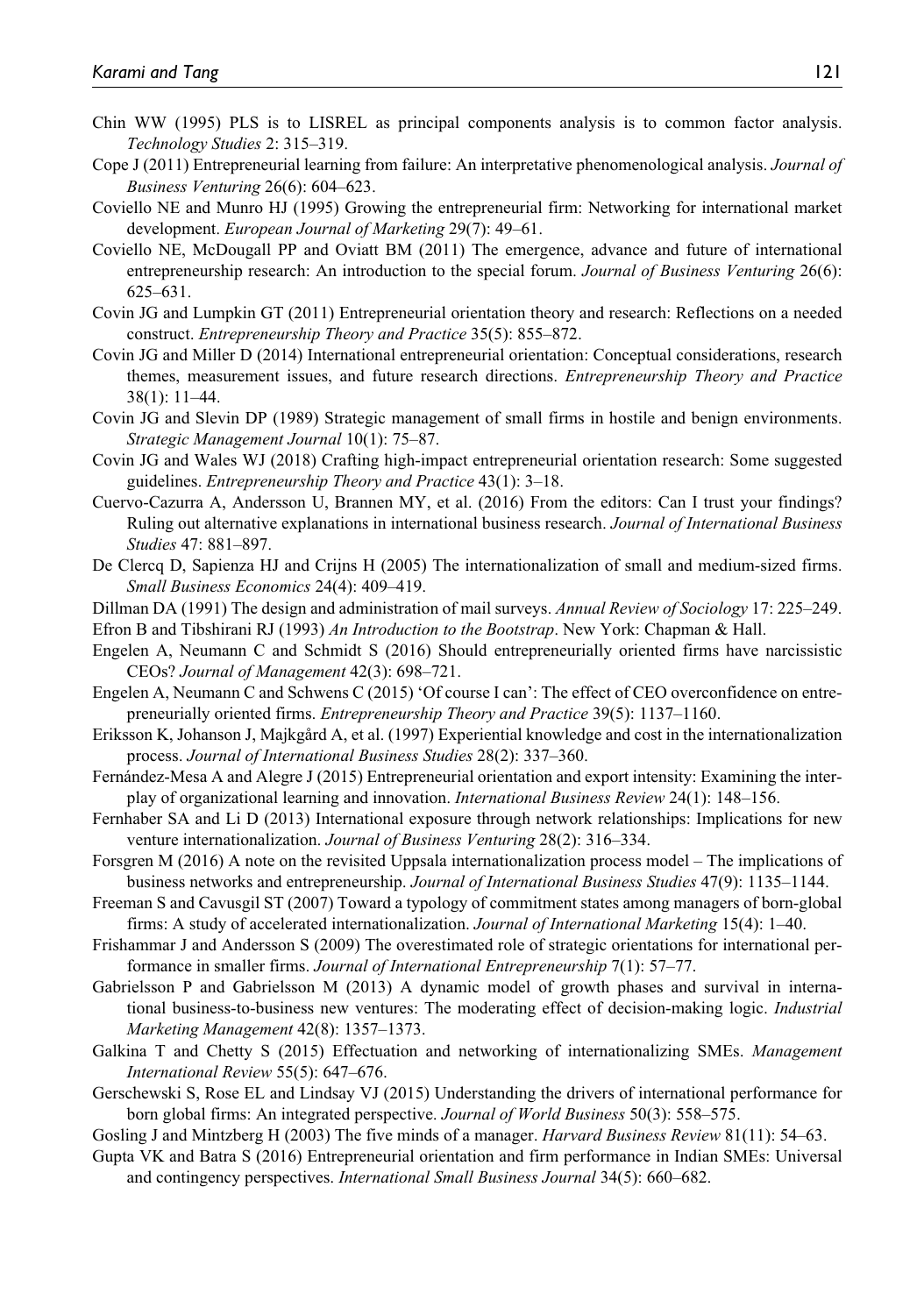- Chin WW (1995) PLS is to LISREL as principal components analysis is to common factor analysis. *Technology Studies* 2: 315–319.
- Cope J (2011) Entrepreneurial learning from failure: An interpretative phenomenological analysis. *Journal of Business Venturing* 26(6): 604–623.
- Coviello NE and Munro HJ (1995) Growing the entrepreneurial firm: Networking for international market development. *European Journal of Marketing* 29(7): 49–61.
- Coviello NE, McDougall PP and Oviatt BM (2011) The emergence, advance and future of international entrepreneurship research: An introduction to the special forum. *Journal of Business Venturing* 26(6): 625–631.
- Covin JG and Lumpkin GT (2011) Entrepreneurial orientation theory and research: Reflections on a needed construct. *Entrepreneurship Theory and Practice* 35(5): 855–872.
- Covin JG and Miller D (2014) International entrepreneurial orientation: Conceptual considerations, research themes, measurement issues, and future research directions. *Entrepreneurship Theory and Practice* 38(1): 11–44.
- Covin JG and Slevin DP (1989) Strategic management of small firms in hostile and benign environments. *Strategic Management Journal* 10(1): 75–87.
- Covin JG and Wales WJ (2018) Crafting high-impact entrepreneurial orientation research: Some suggested guidelines. *Entrepreneurship Theory and Practice* 43(1): 3–18.
- Cuervo-Cazurra A, Andersson U, Brannen MY, et al. (2016) From the editors: Can I trust your findings? Ruling out alternative explanations in international business research. *Journal of International Business Studies* 47: 881–897.
- De Clercq D, Sapienza HJ and Crijns H (2005) The internationalization of small and medium-sized firms. *Small Business Economics* 24(4): 409–419.
- Dillman DA (1991) The design and administration of mail surveys. *Annual Review of Sociology* 17: 225–249.
- Efron B and Tibshirani RJ (1993) *An Introduction to the Bootstrap*. New York: Chapman & Hall.
- Engelen A, Neumann C and Schmidt S (2016) Should entrepreneurially oriented firms have narcissistic CEOs? *Journal of Management* 42(3): 698–721.
- Engelen A, Neumann C and Schwens C (2015) 'Of course I can': The effect of CEO overconfidence on entrepreneurially oriented firms. *Entrepreneurship Theory and Practice* 39(5): 1137–1160.
- Eriksson K, Johanson J, Majkgård A, et al. (1997) Experiential knowledge and cost in the internationalization process. *Journal of International Business Studies* 28(2): 337–360.
- Fernández-Mesa A and Alegre J (2015) Entrepreneurial orientation and export intensity: Examining the interplay of organizational learning and innovation. *International Business Review* 24(1): 148–156.
- Fernhaber SA and Li D (2013) International exposure through network relationships: Implications for new venture internationalization. *Journal of Business Venturing* 28(2): 316–334.
- Forsgren M (2016) A note on the revisited Uppsala internationalization process model The implications of business networks and entrepreneurship. *Journal of International Business Studies* 47(9): 1135–1144.
- Freeman S and Cavusgil ST (2007) Toward a typology of commitment states among managers of born-global firms: A study of accelerated internationalization. *Journal of International Marketing* 15(4): 1–40.
- Frishammar J and Andersson S (2009) The overestimated role of strategic orientations for international performance in smaller firms. *Journal of International Entrepreneurship* 7(1): 57–77.
- Gabrielsson P and Gabrielsson M (2013) A dynamic model of growth phases and survival in international business-to-business new ventures: The moderating effect of decision-making logic. *Industrial Marketing Management* 42(8): 1357–1373.
- Galkina T and Chetty S (2015) Effectuation and networking of internationalizing SMEs. *Management International Review* 55(5): 647–676.
- Gerschewski S, Rose EL and Lindsay VJ (2015) Understanding the drivers of international performance for born global firms: An integrated perspective. *Journal of World Business* 50(3): 558–575.
- Gosling J and Mintzberg H (2003) The five minds of a manager. *Harvard Business Review* 81(11): 54–63.
- Gupta VK and Batra S (2016) Entrepreneurial orientation and firm performance in Indian SMEs: Universal and contingency perspectives. *International Small Business Journal* 34(5): 660–682.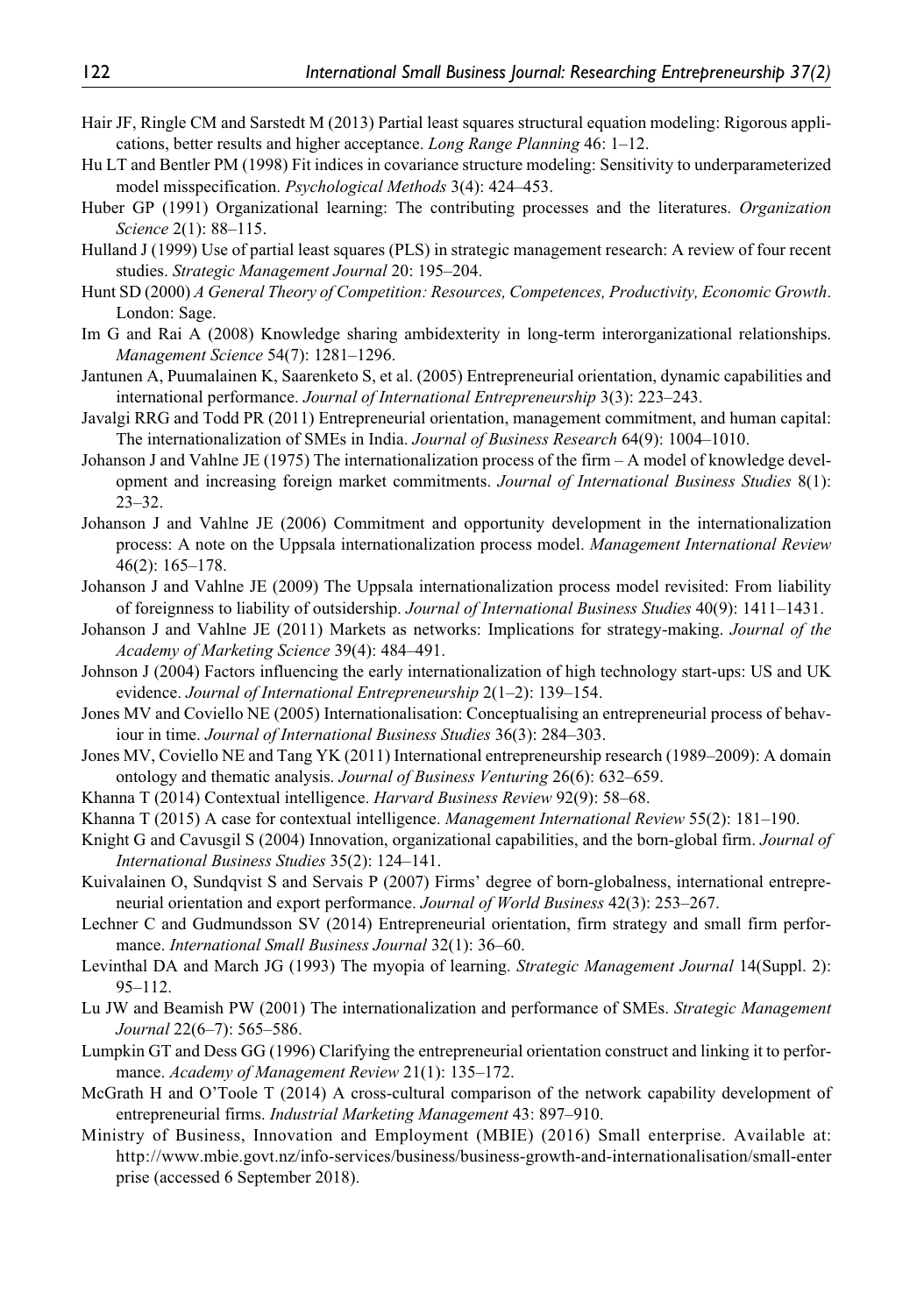- Hair JF, Ringle CM and Sarstedt M (2013) Partial least squares structural equation modeling: Rigorous applications, better results and higher acceptance. *Long Range Planning* 46: 1–12.
- Hu LT and Bentler PM (1998) Fit indices in covariance structure modeling: Sensitivity to underparameterized model misspecification. *Psychological Methods* 3(4): 424–453.
- Huber GP (1991) Organizational learning: The contributing processes and the literatures. *Organization Science* 2(1): 88–115.
- Hulland J (1999) Use of partial least squares (PLS) in strategic management research: A review of four recent studies. *Strategic Management Journal* 20: 195–204.
- Hunt SD (2000) *A General Theory of Competition: Resources, Competences, Productivity, Economic Growth*. London: Sage.
- Im G and Rai A (2008) Knowledge sharing ambidexterity in long-term interorganizational relationships. *Management Science* 54(7): 1281–1296.
- Jantunen A, Puumalainen K, Saarenketo S, et al. (2005) Entrepreneurial orientation, dynamic capabilities and international performance. *Journal of International Entrepreneurship* 3(3): 223–243.
- Javalgi RRG and Todd PR (2011) Entrepreneurial orientation, management commitment, and human capital: The internationalization of SMEs in India. *Journal of Business Research* 64(9): 1004–1010.
- Johanson J and Vahlne JE (1975) The internationalization process of the firm A model of knowledge development and increasing foreign market commitments. *Journal of International Business Studies* 8(1): 23–32.
- Johanson J and Vahlne JE (2006) Commitment and opportunity development in the internationalization process: A note on the Uppsala internationalization process model. *Management International Review* 46(2): 165–178.
- Johanson J and Vahlne JE (2009) The Uppsala internationalization process model revisited: From liability of foreignness to liability of outsidership. *Journal of International Business Studies* 40(9): 1411–1431.
- Johanson J and Vahlne JE (2011) Markets as networks: Implications for strategy-making. *Journal of the Academy of Marketing Science* 39(4): 484–491.
- Johnson J (2004) Factors influencing the early internationalization of high technology start-ups: US and UK evidence. *Journal of International Entrepreneurship* 2(1–2): 139–154.
- Jones MV and Coviello NE (2005) Internationalisation: Conceptualising an entrepreneurial process of behaviour in time. *Journal of International Business Studies* 36(3): 284–303.
- Jones MV, Coviello NE and Tang YK (2011) International entrepreneurship research (1989–2009): A domain ontology and thematic analysis. *Journal of Business Venturing* 26(6): 632–659.
- Khanna T (2014) Contextual intelligence. *Harvard Business Review* 92(9): 58–68.
- Khanna T (2015) A case for contextual intelligence. *Management International Review* 55(2): 181–190.
- Knight G and Cavusgil S (2004) Innovation, organizational capabilities, and the born-global firm. *Journal of International Business Studies* 35(2): 124–141.
- Kuivalainen O, Sundqvist S and Servais P (2007) Firms' degree of born-globalness, international entrepreneurial orientation and export performance. *Journal of World Business* 42(3): 253–267.
- Lechner C and Gudmundsson SV (2014) Entrepreneurial orientation, firm strategy and small firm performance. *International Small Business Journal* 32(1): 36–60.
- Levinthal DA and March JG (1993) The myopia of learning. *Strategic Management Journal* 14(Suppl. 2): 95–112.
- Lu JW and Beamish PW (2001) The internationalization and performance of SMEs. *Strategic Management Journal* 22(6–7): 565–586.
- Lumpkin GT and Dess GG (1996) Clarifying the entrepreneurial orientation construct and linking it to performance. *Academy of Management Review* 21(1): 135–172.
- McGrath H and O'Toole T (2014) A cross-cultural comparison of the network capability development of entrepreneurial firms. *Industrial Marketing Management* 43: 897–910.
- Ministry of Business, Innovation and Employment (MBIE) (2016) Small enterprise. Available at: [http://www.mbie.govt.nz/info-services/business/business-growth-and-internationalisation/small-enter](http://www.mbie.govt.nz/info-services/business/business-growth-and-internationalisation/small-enterprise) [prise](http://www.mbie.govt.nz/info-services/business/business-growth-and-internationalisation/small-enterprise) (accessed 6 September 2018).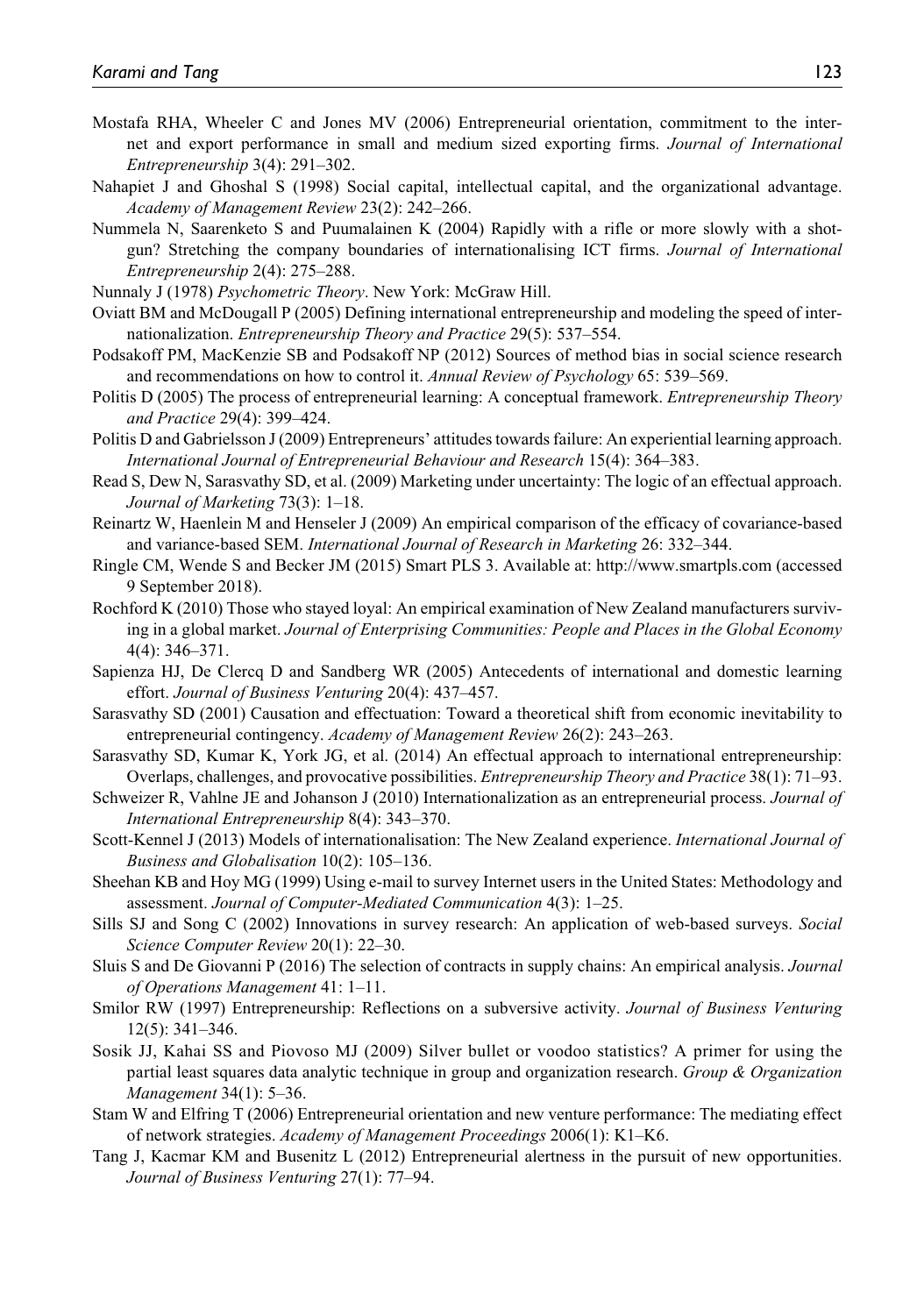- Mostafa RHA, Wheeler C and Jones MV (2006) Entrepreneurial orientation, commitment to the internet and export performance in small and medium sized exporting firms. *Journal of International Entrepreneurship* 3(4): 291–302.
- Nahapiet J and Ghoshal S (1998) Social capital, intellectual capital, and the organizational advantage. *Academy of Management Review* 23(2): 242–266.
- Nummela N, Saarenketo S and Puumalainen K (2004) Rapidly with a rifle or more slowly with a shotgun? Stretching the company boundaries of internationalising ICT firms. *Journal of International Entrepreneurship* 2(4): 275–288.
- Nunnaly J (1978) *Psychometric Theory*. New York: McGraw Hill.
- Oviatt BM and McDougall P (2005) Defining international entrepreneurship and modeling the speed of internationalization. *Entrepreneurship Theory and Practice* 29(5): 537–554.
- Podsakoff PM, MacKenzie SB and Podsakoff NP (2012) Sources of method bias in social science research and recommendations on how to control it. *Annual Review of Psychology* 65: 539–569.
- Politis D (2005) The process of entrepreneurial learning: A conceptual framework. *Entrepreneurship Theory and Practice* 29(4): 399–424.
- Politis D and Gabrielsson J (2009) Entrepreneurs' attitudes towards failure: An experiential learning approach. *International Journal of Entrepreneurial Behaviour and Research* 15(4): 364–383.
- Read S, Dew N, Sarasvathy SD, et al. (2009) Marketing under uncertainty: The logic of an effectual approach. *Journal of Marketing* 73(3): 1–18.
- Reinartz W, Haenlein M and Henseler J (2009) An empirical comparison of the efficacy of covariance-based and variance-based SEM. *International Journal of Research in Marketing* 26: 332–344.
- Ringle CM, Wende S and Becker JM (2015) Smart PLS 3. Available at: <http://www.smartpls.com>(accessed 9 September 2018).
- Rochford K (2010) Those who stayed loyal: An empirical examination of New Zealand manufacturers surviving in a global market. *Journal of Enterprising Communities: People and Places in the Global Economy* 4(4): 346–371.
- Sapienza HJ, De Clercq D and Sandberg WR (2005) Antecedents of international and domestic learning effort. *Journal of Business Venturing* 20(4): 437–457.
- Sarasvathy SD (2001) Causation and effectuation: Toward a theoretical shift from economic inevitability to entrepreneurial contingency. *Academy of Management Review* 26(2): 243–263.
- Sarasvathy SD, Kumar K, York JG, et al. (2014) An effectual approach to international entrepreneurship: Overlaps, challenges, and provocative possibilities. *Entrepreneurship Theory and Practice* 38(1): 71–93.
- Schweizer R, Vahlne JE and Johanson J (2010) Internationalization as an entrepreneurial process. *Journal of International Entrepreneurship* 8(4): 343–370.
- Scott-Kennel J (2013) Models of internationalisation: The New Zealand experience. *International Journal of Business and Globalisation* 10(2): 105–136.
- Sheehan KB and Hoy MG (1999) Using e-mail to survey Internet users in the United States: Methodology and assessment. *Journal of Computer-Mediated Communication* 4(3): 1–25.
- Sills SJ and Song C (2002) Innovations in survey research: An application of web-based surveys. *Social Science Computer Review* 20(1): 22–30.
- Sluis S and De Giovanni P (2016) The selection of contracts in supply chains: An empirical analysis. *Journal of Operations Management* 41: 1–11.
- Smilor RW (1997) Entrepreneurship: Reflections on a subversive activity. *Journal of Business Venturing* 12(5): 341–346.
- Sosik JJ, Kahai SS and Piovoso MJ (2009) Silver bullet or voodoo statistics? A primer for using the partial least squares data analytic technique in group and organization research. *Group & Organization Management* 34(1): 5–36.
- Stam W and Elfring T (2006) Entrepreneurial orientation and new venture performance: The mediating effect of network strategies. *Academy of Management Proceedings* 2006(1): K1–K6.
- Tang J, Kacmar KM and Busenitz L (2012) Entrepreneurial alertness in the pursuit of new opportunities. *Journal of Business Venturing* 27(1): 77–94.